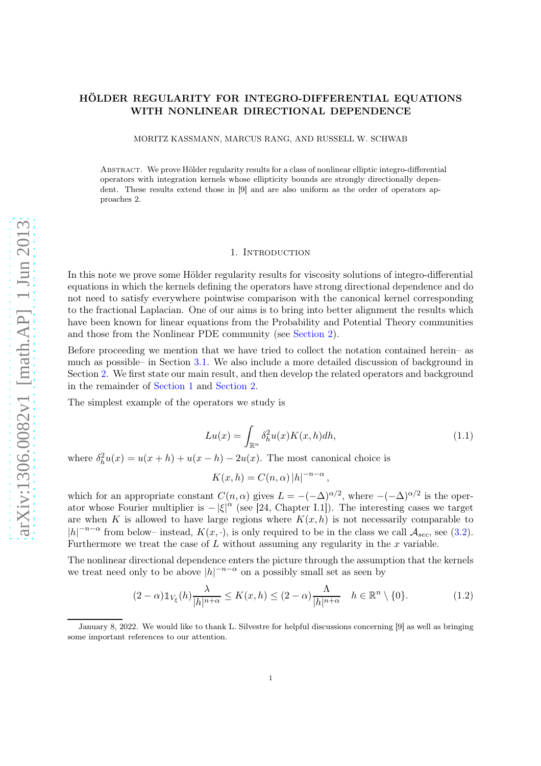# HÖLDER REGULARITY FOR INTEGRO-DIFFERENTIAL EQUATIONS WITH NONLINEAR DIRECTIONAL DEPENDENCE

MORITZ KASSMANN, MARCUS RANG, AND RUSSELL W. SCHWAB

ABSTRACT. We prove Hölder regularity results for a class of nonlinear elliptic integro-differential operators with integration kernels whose ellipticity bounds are strongly directionally dependent. These results extend those in [\[9\]](#page-24-0) and are also uniform as the order of operators approaches 2.

## 1. INTRODUCTION

<span id="page-0-0"></span>In this note we prove some Hölder regularity results for viscosity solutions of integro-differential equations in which the kernels defining the operators have strong directional dependence and do not need to satisfy everywhere pointwise comparison with the canonical kernel corresponding to the fractional Laplacian. One of our aims is to bring into better alignment the results which have been known for linear equations from the Probability and Potential Theory communities and those from the Nonlinear PDE community (see [Section 2\)](#page-2-0).

Before proceeding we mention that we have tried to collect the notation contained herein– as much as possible– in Section [3.1.](#page-4-0) We also include a more detailed discussion of background in Section [2.](#page-2-0) We first state our main result, and then develop the related operators and background in the remainder of [Section 1](#page-0-0) and [Section 2.](#page-2-0)

The simplest example of the operators we study is

<span id="page-0-1"></span>
$$
Lu(x) = \int_{\mathbb{R}^n} \delta_h^2 u(x) K(x, h) dh,
$$
\n(1.1)

where  $\delta_h^2 u(x) = u(x+h) + u(x-h) - 2u(x)$ . The most canonical choice is

<span id="page-0-2"></span>
$$
K(x,h) = C(n,\alpha) |h|^{-n-\alpha},
$$

which for an appropriate constant  $C(n, \alpha)$  gives  $L = -(-\Delta)^{\alpha/2}$ , where  $-(-\Delta)^{\alpha/2}$  is the operator whose Fourier multiplier is  $- |\xi|^{\alpha}$  (see [\[24,](#page-25-0) Chapter I.1]). The interesting cases we target are when K is allowed to have large regions where  $K(x, h)$  is not necessarily comparable to  $|h|^{-n-\alpha}$  from below– instead,  $K(x, \cdot)$ , is only required to be in the class we call  $\mathcal{A}_{sec}$ , see [\(3.2\)](#page-4-1). Furthermore we treat the case of  $L$  without assuming any regularity in the  $x$  variable.

The nonlinear directional dependence enters the picture through the assumption that the kernels we treat need only to be above  $|h|^{-n-\alpha}$  on a possibly small set as seen by

$$
(2 - \alpha) \mathbb{1}_{V_{\xi}}(h) \frac{\lambda}{|h|^{n + \alpha}} \le K(x, h) \le (2 - \alpha) \frac{\Lambda}{|h|^{n + \alpha}} \quad h \in \mathbb{R}^n \setminus \{0\}. \tag{1.2}
$$

January 8, 2022. We would like to thank L. Silvestre for helpful discussions concerning [\[9\]](#page-24-0) as well as bringing some important references to our attention.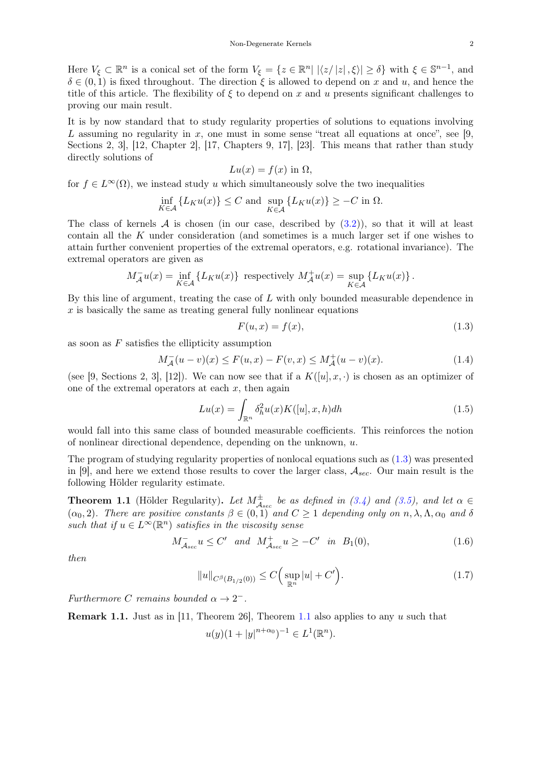Here  $V_{\xi} \subset \mathbb{R}^n$  is a conical set of the form  $V_{\xi} = \{z \in \mathbb{R}^n | \ |\langle z/|z|, \xi \rangle| \ge \delta \}$  with  $\xi \in \mathbb{S}^{n-1}$ , and  $\delta \in (0,1)$  is fixed throughout. The direction  $\xi$  is allowed to depend on x and u, and hence the title of this article. The flexibility of  $\xi$  to depend on x and u presents significant challenges to proving our main result.

It is by now standard that to study regularity properties of solutions to equations involving L assuming no regularity in x, one must in some sense "treat all equations at once", see [\[9,](#page-24-0) Sections 2, 3], [\[12,](#page-24-1) Chapter 2], [\[17,](#page-24-2) Chapters 9, 17], [\[23\]](#page-25-1). This means that rather than study directly solutions of

$$
Lu(x) = f(x) \text{ in } \Omega,
$$

for  $f \in L^{\infty}(\Omega)$ , we instead study u which simultaneously solve the two inequalities

$$
\inf_{K \in \mathcal{A}} \{ L_K u(x) \} \le C \text{ and } \sup_{K \in \mathcal{A}} \{ L_K u(x) \} \ge -C \text{ in } \Omega.
$$

The class of kernels  $A$  is chosen (in our case, described by  $(3.2)$ ), so that it will at least contain all the K under consideration (and sometimes is a much larger set if one wishes to attain further convenient properties of the extremal operators, e.g. rotational invariance). The extremal operators are given as

$$
M_{\mathcal{A}}^{-}u(x) = \inf_{K \in \mathcal{A}} \{ L_K u(x) \} \text{ respectively } M_{\mathcal{A}}^{+}u(x) = \sup_{K \in \mathcal{A}} \{ L_K u(x) \}.
$$

By this line of argument, treating the case of L with only bounded measurable dependence in  $x$  is basically the same as treating general fully nonlinear equations

<span id="page-1-0"></span>
$$
F(u,x) = f(x),\tag{1.3}
$$

as soon as  $F$  satisfies the ellipticity assumption

<span id="page-1-2"></span>
$$
M_{\mathcal{A}}^{-}(u-v)(x) \le F(u,x) - F(v,x) \le M_{\mathcal{A}}^{+}(u-v)(x). \tag{1.4}
$$

(see [\[9,](#page-24-0) Sections 2, 3], [\[12\]](#page-24-1)). We can now see that if a  $K([u], x, \cdot)$  is chosen as an optimizer of one of the extremal operators at each  $x$ , then again

$$
Lu(x) = \int_{\mathbb{R}^n} \delta_h^2 u(x) K([u], x, h) dh \tag{1.5}
$$

would fall into this same class of bounded measurable coefficients. This reinforces the notion of nonlinear directional dependence, depending on the unknown, u.

The program of studying regularity properties of nonlocal equations such as [\(1.3\)](#page-1-0) was presented in [\[9\]](#page-24-0), and here we extend those results to cover the larger class,  $A_{sec}$ . Our main result is the following Hölder regularity estimate.

<span id="page-1-1"></span>**Theorem 1.1** (Hölder Regularity). Let  $M_{A_{sec}}^{\pm}$  be as defined in [\(3.4\)](#page-5-0) and [\(3.5\)](#page-5-1), and let  $\alpha \in A_{sec}$  $(\alpha_0, 2)$ . There are positive constants  $\beta \in (0, 1)$  and  $C \geq 1$  depending only on n,  $\lambda$ ,  $\Lambda$ ,  $\alpha_0$  and  $\delta$ such that if  $u \in L^{\infty}(\mathbb{R}^n)$  satisfies in the viscosity sense

<span id="page-1-3"></span>
$$
M_{A_{sec}}^- u \le C' \quad and \quad M_{A_{sec}}^+ u \ge -C' \quad in \quad B_1(0), \tag{1.6}
$$

then

$$
||u||_{C^{\beta}(B_{1/2}(0))} \le C\Big(\sup_{\mathbb{R}^n} |u| + C'\Big). \tag{1.7}
$$

Furthermore C remains bounded  $\alpha \to 2^-$ .

Remark 1.1. Just as in [\[11,](#page-24-3) Theorem 26], Theorem [1.1](#page-1-1) also applies to any u such that

$$
u(y)(1+|y|^{n+\alpha_0})^{-1} \in L^1(\mathbb{R}^n).
$$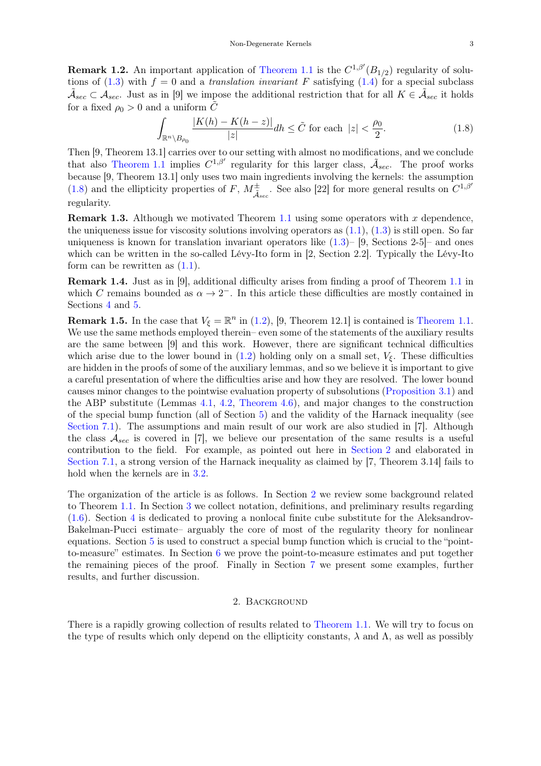**Remark 1.2.** An important application of [Theorem 1.1](#page-1-1) is the  $C^{1,\beta'}(B_{1/2})$  regularity of solu-tions of [\(1.3\)](#page-1-0) with  $f = 0$  and a translation invariant F satisfying [\(1.4\)](#page-1-2) for a special subclass  $\tilde{\mathcal{A}}_{sec} \subset \mathcal{A}_{sec}$ . Just as in [\[9\]](#page-24-0) we impose the additional restriction that for all  $K \in \tilde{\mathcal{A}}_{sec}$  it holds for a fixed  $\rho_0 > 0$  and a uniform C

<span id="page-2-1"></span>
$$
\int_{\mathbb{R}^n \setminus B_{\rho_0}} \frac{|K(h) - K(h - z)|}{|z|} dh \le \tilde{C} \text{ for each } |z| < \frac{\rho_0}{2}.\tag{1.8}
$$

Then [\[9,](#page-24-0) Theorem 13.1] carries over to our setting with almost no modifications, and we conclude that also [Theorem 1.1](#page-1-1) implies  $C^{1,\beta'}$  regularity for this larger class,  $\tilde{\mathcal{A}}_{sec}$ . The proof works because [\[9,](#page-24-0) Theorem 13.1] only uses two main ingredients involving the kernels: the assumption [\(1.8\)](#page-2-1) and the ellipticity properties of F,  $M^{\pm}_{\tilde{A}_{sec}}$ . See also [\[22\]](#page-25-2) for more general results on  $C^{1,\beta'}$ regularity.

**Remark 1.3.** Although we motivated Theorem [1.1](#page-1-1) using some operators with x dependence, the uniqueness issue for viscosity solutions involving operators as  $(1.1)$ ,  $(1.3)$  is still open. So far uniqueness is known for translation invariant operators like  $(1.3)$ – [\[9,](#page-24-0) Sections 2-5]– and ones which can be written in the so-called Lévy-Ito form in [\[2,](#page-24-4) Section 2.2]. Typically the Lévy-Ito form can be rewritten as  $(1.1)$ .

Remark 1.4. Just as in [\[9\]](#page-24-0), additional difficulty arises from finding a proof of Theorem [1.1](#page-1-1) in which C remains bounded as  $\alpha \to 2^-$ . In this article these difficulties are mostly contained in Sections [4](#page-8-0) and [5.](#page-14-0)

**Remark 1.5.** In the case that  $V_{\xi} = \mathbb{R}^n$  in [\(1.2\)](#page-0-2), [\[9,](#page-24-0) Theorem 12.1] is contained is [Theorem 1.1.](#page-1-1) We use the same methods employed therein– even some of the statements of the auxiliary results are the same between [\[9\]](#page-24-0) and this work. However, there are significant technical difficulties which arise due to the lower bound in  $(1.2)$  holding only on a small set,  $V_f$ . These difficulties are hidden in the proofs of some of the auxiliary lemmas, and so we believe it is important to give a careful presentation of where the difficulties arise and how they are resolved. The lower bound causes minor changes to the pointwise evaluation property of subsolutions [\(Proposition 3.1\)](#page-6-0) and the ABP substitute (Lemmas [4.1,](#page-8-1) [4.2,](#page-10-0) [Theorem 4.6\)](#page-13-0), and major changes to the construction of the special bump function (all of Section [5\)](#page-14-0) and the validity of the Harnack inequality (see [Section 7.1\)](#page-21-0). The assumptions and main result of our work are also studied in [\[7\]](#page-24-5). Although the class  $\mathcal{A}_{sec}$  is covered in [\[7\]](#page-24-5), we believe our presentation of the same results is a useful contribution to the field. For example, as pointed out here in [Section 2](#page-2-0) and elaborated in [Section 7.1,](#page-21-0) a strong version of the Harnack inequality as claimed by [\[7,](#page-24-5) Theorem 3.14] fails to hold when the kernels are in [3.2.](#page-4-1)

The organization of the article is as follows. In Section [2](#page-2-0) we review some background related to Theorem [1.1.](#page-1-1) In Section [3](#page-4-2) we collect notation, definitions, and preliminary results regarding [\(1.6\)](#page-1-3). Section [4](#page-8-0) is dedicated to proving a nonlocal finite cube substitute for the Aleksandrov-Bakelman-Pucci estimate– arguably the core of most of the regularity theory for nonlinear equations. Section [5](#page-14-0) is used to construct a special bump function which is crucial to the "pointto-measure" estimates. In Section [6](#page-19-0) we prove the point-to-measure estimates and put together the remaining pieces of the proof. Finally in Section [7](#page-21-1) we present some examples, further results, and further discussion.

## 2. Background

<span id="page-2-0"></span>There is a rapidly growing collection of results related to [Theorem 1.1.](#page-1-1) We will try to focus on the type of results which only depend on the ellipticity constants,  $\lambda$  and  $\Lambda$ , as well as possibly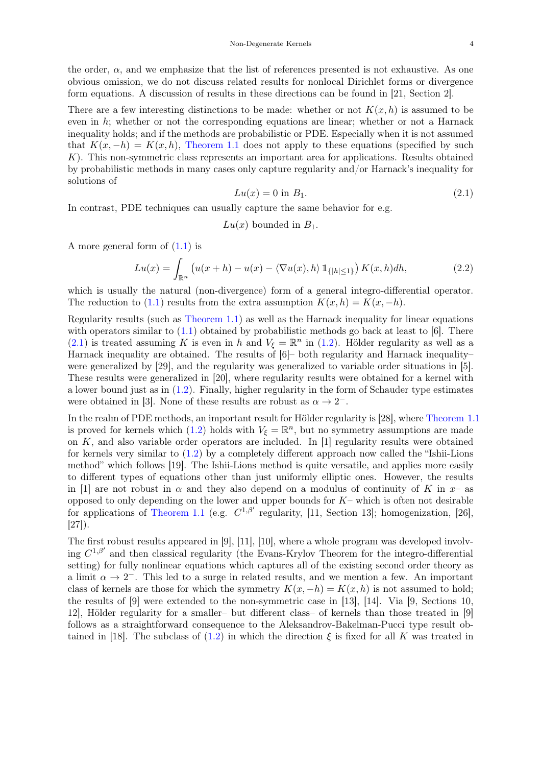the order,  $\alpha$ , and we emphasize that the list of references presented is not exhaustive. As one obvious omission, we do not discuss related results for nonlocal Dirichlet forms or divergence form equations. A discussion of results in these directions can be found in [\[21,](#page-25-3) Section 2].

There are a few interesting distinctions to be made: whether or not  $K(x, h)$  is assumed to be even in  $h$ ; whether or not the corresponding equations are linear; whether or not a Harnack inequality holds; and if the methods are probabilistic or PDE. Especially when it is not assumed that  $K(x, -h) = K(x, h)$ , [Theorem 1.1](#page-1-1) does not apply to these equations (specified by such K). This non-symmetric class represents an important area for applications. Results obtained by probabilistic methods in many cases only capture regularity and/or Harnack's inequality for solutions of

<span id="page-3-0"></span>
$$
Lu(x) = 0 \text{ in } B_1. \tag{2.1}
$$

In contrast, PDE techniques can usually capture the same behavior for e.g.

 $Lu(x)$  bounded in  $B_1$ .

A more general form of  $(1.1)$  is

$$
Lu(x) = \int_{\mathbb{R}^n} \left( u(x+h) - u(x) - \langle \nabla u(x), h \rangle \mathbb{1}_{\{|h| \le 1\}} \right) K(x,h) dh,
$$
\n(2.2)

which is usually the natural (non-divergence) form of a general integro-differential operator. The reduction to [\(1.1\)](#page-0-1) results from the extra assumption  $K(x, h) = K(x, -h)$ .

Regularity results (such as [Theorem 1.1\)](#page-1-1) as well as the Harnack inequality for linear equations with operators similar to  $(1.1)$  obtained by probabilistic methods go back at least to [\[6\]](#page-24-6). There [\(2.1\)](#page-3-0) is treated assuming K is even in h and  $V_{\xi} = \mathbb{R}^{n}$  in [\(1.2\)](#page-0-2). Hölder regularity as well as a Harnack inequality are obtained. The results of [\[6\]](#page-24-6)– both regularity and Harnack inequality– were generalized by [\[29\]](#page-25-4), and the regularity was generalized to variable order situations in [\[5\]](#page-24-7). These results were generalized in [\[20\]](#page-25-5), where regularity results were obtained for a kernel with a lower bound just as in [\(1.2\)](#page-0-2). Finally, higher regularity in the form of Schauder type estimates were obtained in [\[3\]](#page-24-8). None of these results are robust as  $\alpha \to 2^-$ .

In the realm of PDE methods, an important result for Hölder regularity is [\[28\]](#page-25-6), where [Theorem 1.1](#page-1-1) is proved for kernels which [\(1.2\)](#page-0-2) holds with  $V_{\xi} = \mathbb{R}^{n}$ , but no symmetry assumptions are made on  $K$ , and also variable order operators are included. In  $[1]$  regularity results were obtained for kernels very similar to [\(1.2\)](#page-0-2) by a completely different approach now called the "Ishii-Lions method" which follows [\[19\]](#page-25-7). The Ishii-Lions method is quite versatile, and applies more easily to different types of equations other than just uniformly elliptic ones. However, the results in [\[1\]](#page-24-9) are not robust in  $\alpha$  and they also depend on a modulus of continuity of K in  $x-$  as opposed to only depending on the lower and upper bounds for  $K-$  which is often not desirable for applications of [Theorem 1.1](#page-1-1) (e.g.  $C^{1,\beta'}$  regularity, [\[11,](#page-24-3) Section 13]; homogenization, [\[26\]](#page-25-8), [\[27\]](#page-25-9)).

The first robust results appeared in [\[9\]](#page-24-0), [\[11\]](#page-24-3), [\[10\]](#page-24-10), where a whole program was developed involving  $C^{1,\beta'}$  and then classical regularity (the Evans-Krylov Theorem for the integro-differential setting) for fully nonlinear equations which captures all of the existing second order theory as a limit  $\alpha \to 2^-$ . This led to a surge in related results, and we mention a few. An important class of kernels are those for which the symmetry  $K(x, -h) = K(x, h)$  is not assumed to hold; the results of [\[9\]](#page-24-0) were extended to the non-symmetric case in [\[13\]](#page-24-11), [\[14\]](#page-24-12). Via [\[9,](#page-24-0) Sections 10, 12], Hölder regularity for a smaller– but different class– of kernels than those treated in [\[9\]](#page-24-0) follows as a straightforward consequence to the Aleksandrov-Bakelman-Pucci type result ob-tained in [\[18\]](#page-25-10). The subclass of [\(1.2\)](#page-0-2) in which the direction  $\xi$  is fixed for all K was treated in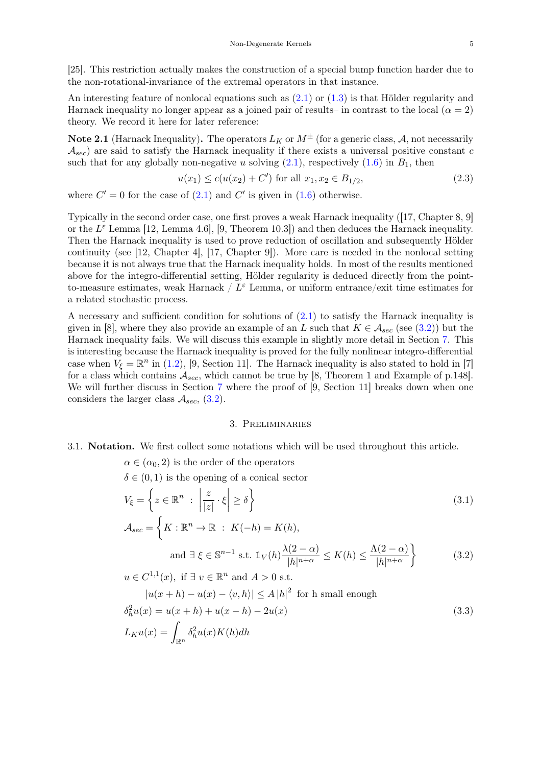[\[25\]](#page-25-11). This restriction actually makes the construction of a special bump function harder due to the non-rotational-invariance of the extremal operators in that instance.

An interesting feature of nonlocal equations such as [\(2.1\)](#page-3-0) or [\(1.3\)](#page-1-0) is that Hölder regularity and Harnack inequality no longer appear as a joined pair of results– in contrast to the local ( $\alpha = 2$ ) theory. We record it here for later reference:

**Note 2.1** (Harnack Inequality). The operators  $L_K$  or  $M^{\pm}$  (for a generic class, A, not necessarily  $\mathcal{A}_{sec}$ ) are said to satisfy the Harnack inequality if there exists a universal positive constant c such that for any globally non-negative u solving  $(2.1)$ , respectively  $(1.6)$  in  $B_1$ , then

$$
u(x_1) \le c(u(x_2) + C') \text{ for all } x_1, x_2 \in B_{1/2},
$$
\n(2.3)

where  $C' = 0$  for the case of  $(2.1)$  and  $C'$  is given in  $(1.6)$  otherwise.

Typically in the second order case, one first proves a weak Harnack inequality ([\[17,](#page-24-2) Chapter 8, 9] or the  $L^{\varepsilon}$  Lemma [\[12,](#page-24-1) Lemma 4.6], [\[9,](#page-24-0) Theorem 10.3]) and then deduces the Harnack inequality. Then the Harnack inequality is used to prove reduction of oscillation and subsequently Hölder continuity (see [\[12,](#page-24-1) Chapter 4], [\[17,](#page-24-2) Chapter 9]). More care is needed in the nonlocal setting because it is not always true that the Harnack inequality holds. In most of the results mentioned above for the integro-differential setting, Hölder regularity is deduced directly from the pointto-measure estimates, weak Harnack /  $L^{\varepsilon}$  Lemma, or uniform entrance/exit time estimates for a related stochastic process.

A necessary and sufficient condition for solutions of [\(2.1\)](#page-3-0) to satisfy the Harnack inequality is given in [\[8\]](#page-24-13), where they also provide an example of an L such that  $K \in \mathcal{A}_{sec}$  (see [\(3.2\)](#page-4-1)) but the Harnack inequality fails. We will discuss this example in slightly more detail in Section [7.](#page-21-1) This is interesting because the Harnack inequality is proved for the fully nonlinear integro-differential case when  $V_{\xi} = \mathbb{R}^{n}$  in [\(1.2\)](#page-0-2), [\[9,](#page-24-0) Section 11]. The Harnack inequality is also stated to hold in [\[7\]](#page-24-5) for a class which contains  $A_{sec}$ , which cannot be true by [\[8,](#page-24-13) Theorem 1 and Example of p.148]. We will further discuss in Section [7](#page-21-1) where the proof of  $[9,$  Section 11] breaks down when one considers the larger class  $A_{sec}$ , [\(3.2\)](#page-4-1).

## <span id="page-4-1"></span>3. Preliminaries

#### <span id="page-4-2"></span><span id="page-4-0"></span>3.1. Notation. We first collect some notations which will be used throughout this article.

 $\alpha \in (\alpha_0, 2)$  is the order of the operators

 $\delta \in (0, 1)$  is the opening of a conical sector

$$
V_{\xi} = \left\{ z \in \mathbb{R}^n : \left| \frac{z}{|z|} \cdot \xi \right| \ge \delta \right\}
$$
  

$$
\mathcal{A}_{sec} = \left\{ K : \mathbb{R}^n \to \mathbb{R} : K(-h) = K(h), \right\}
$$
  
(3.1)

and 
$$
\exists \xi \in \mathbb{S}^{n-1}
$$
 s.t.  $\mathbb{1}_V(h) \frac{\lambda(2-\alpha)}{|h|^{n+\alpha}} \le K(h) \le \frac{\Lambda(2-\alpha)}{|h|^{n+\alpha}}$  (3.2)

 $u \in C^{1,1}(x)$ , if  $\exists v \in \mathbb{R}^n$  and  $A > 0$  s.t.

$$
|u(x+h) - u(x) - \langle v, h \rangle| \le A |h|^2 \text{ for h small enough}
$$
  
\n
$$
\delta_h^2 u(x) = u(x+h) + u(x-h) - 2u(x)
$$
  
\n
$$
L_K u(x) = \int_{\mathbb{R}^n} \delta_h^2 u(x) K(h) dh
$$
\n(3.3)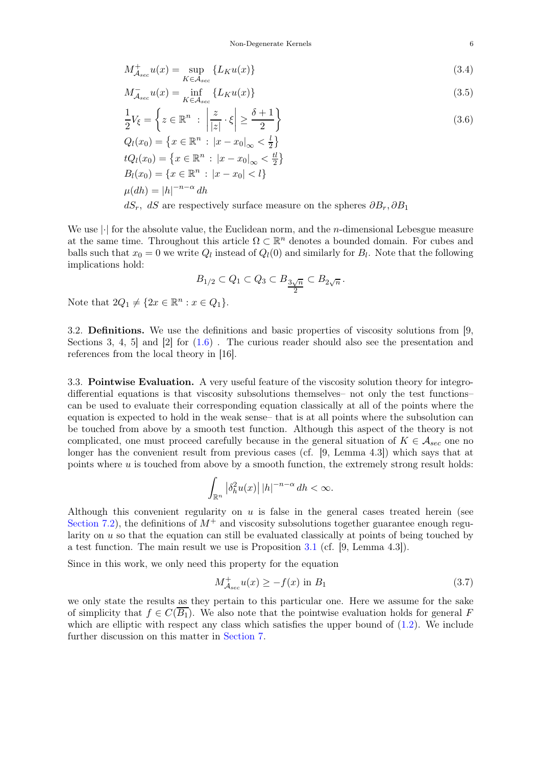<span id="page-5-3"></span><span id="page-5-1"></span><span id="page-5-0"></span>Non-Degenerate Kernels 6

$$
M_{\mathcal{A}_{sec}}^{+}u(x) = \sup_{K \in \mathcal{A}_{sec}} \{ L_K u(x) \}
$$
\n(3.4)

$$
M_{A_{sec}}^{-}u(x) = \inf_{K \in A_{sec}} \{L_K u(x)\}\tag{3.5}
$$

$$
\frac{1}{2}V_{\xi} = \left\{ z \in \mathbb{R}^n : \left| \frac{z}{|z|} \cdot \xi \right| \ge \frac{\delta + 1}{2} \right\} \tag{3.6}
$$

$$
Q_l(x_0) = \left\{ x \in \mathbb{R}^n : |x - x_0|_\infty < \frac{l}{2} \right\}
$$
  
\n
$$
tQ_l(x_0) = \left\{ x \in \mathbb{R}^n : |x - x_0|_\infty < \frac{tl}{2} \right\}
$$
  
\n
$$
B_l(x_0) = \left\{ x \in \mathbb{R}^n : |x - x_0| < l \right\}
$$
  
\n
$$
\mu(dh) = |h|^{-n-\alpha} dh
$$
  
\n
$$
dS_r, dS \text{ are respectively surface measure on the spheres } \partial B_r, \partial B_1
$$

We use  $\lvert \cdot \rvert$  for the absolute value, the Euclidean norm, and the *n*-dimensional Lebesgue measure at the same time. Throughout this article  $\Omega \subset \mathbb{R}^n$  denotes a bounded domain. For cubes and balls such that  $x_0 = 0$  we write  $Q_l$  instead of  $Q_l(0)$  and similarly for  $B_l$ . Note that the following implications hold:

$$
B_{1/2}\subset Q_1\subset Q_3\subset B_{\underline{3\sqrt{n}}}\subset B_{2\sqrt{n}}\,.
$$

Note that  $2Q_1 \neq \{2x \in \mathbb{R}^n : x \in Q_1\}.$ 

3.2. Definitions. We use the definitions and basic properties of viscosity solutions from [\[9,](#page-24-0) Sections 3, 4, 5 and  $[2]$  for  $(1.6)$ . The curious reader should also see the presentation and references from the local theory in [\[16\]](#page-24-14).

<span id="page-5-4"></span>3.3. Pointwise Evaluation. A very useful feature of the viscosity solution theory for integrodifferential equations is that viscosity subsolutions themselves– not only the test functions– can be used to evaluate their corresponding equation classically at all of the points where the equation is expected to hold in the weak sense– that is at all points where the subsolution can be touched from above by a smooth test function. Although this aspect of the theory is not complicated, one must proceed carefully because in the general situation of  $K \in \mathcal{A}_{sec}$  one no longer has the convenient result from previous cases (cf. [\[9,](#page-24-0) Lemma 4.3]) which says that at points where  $u$  is touched from above by a smooth function, the extremely strong result holds:

$$
\int_{\mathbb{R}^n} \left| \delta_h^2 u(x) \right| |h|^{-n-\alpha} dh < \infty.
$$

Although this convenient regularity on  $u$  is false in the general cases treated herein (see [Section 7.2\)](#page-22-0), the definitions of  $M^+$  and viscosity subsolutions together guarantee enough regularity on u so that the equation can still be evaluated classically at points of being touched by a test function. The main result we use is Proposition [3.1](#page-6-0) (cf. [\[9,](#page-24-0) Lemma 4.3]).

Since in this work, we only need this property for the equation

<span id="page-5-2"></span>
$$
M_{A_{sec}}^+ u(x) \ge -f(x) \text{ in } B_1 \tag{3.7}
$$

we only state the results as they pertain to this particular one. Here we assume for the sake of simplicity that  $f \in C(\overline{B_1})$ . We also note that the pointwise evaluation holds for general F which are elliptic with respect any class which satisfies the upper bound of  $(1.2)$ . We include further discussion on this matter in [Section 7.](#page-21-1)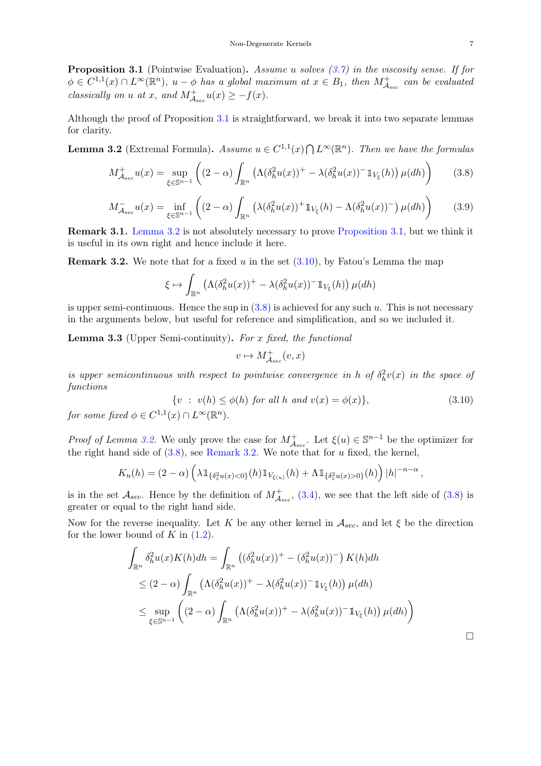<span id="page-6-0"></span>**Proposition 3.1** (Pointwise Evaluation). Assume u solves  $(3.7)$  in the viscosity sense. If for  $\phi \in C^{1,1}(x) \cap L^{\infty}(\mathbb{R}^n)$ ,  $u - \phi$  has a global maximum at  $x \in B_1$ , then  $M^+_{A_{sec}}$  can be evaluated classically on u at x, and  $M^+_{A_{sec}}u(x) \geq -f(x)$ .

Although the proof of Proposition [3.1](#page-6-0) is straightforward, we break it into two separate lemmas for clarity.

<span id="page-6-1"></span>**Lemma 3.2** (Extremal Formula). Assume  $u \in C^{1,1}(x) \cap L^{\infty}(\mathbb{R}^n)$ . Then we have the formulas

<span id="page-6-3"></span>
$$
M_{A_{sec}}^+ u(x) = \sup_{\xi \in \mathbb{S}^{n-1}} \left( (2 - \alpha) \int_{\mathbb{R}^n} \left( \Lambda (\delta_h^2 u(x)) + \lambda (\delta_h^2 u(x))^{-1} \mathbb{1}_{V_{\xi}}(h) \right) \mu(dh) \right) \tag{3.8}
$$

$$
M_{A_{sec}}^{-}u(x) = \inf_{\xi \in \mathbb{S}^{n-1}} \left( (2-\alpha) \int_{\mathbb{R}^n} \left( \lambda (\delta_h^2 u(x))^+ \mathbb{1}_{V_{\xi}}(h) - \Lambda (\delta_h^2 u(x))^-\right) \mu(dh) \right) \tag{3.9}
$$

Remark 3.1. [Lemma 3.2](#page-6-1) is not absolutely necessary to prove [Proposition 3.1,](#page-6-0) but we think it is useful in its own right and hence include it here.

<span id="page-6-4"></span>**Remark 3.2.** We note that for a fixed u in the set  $(3.10)$ , by Fatou's Lemma the map

$$
\xi \mapsto \int_{\mathbb{R}^n} \left( \Lambda(\delta_h^2 u(x))^+ - \lambda(\delta_h^2 u(x))^-\mathbb{1}_{V_{\xi}}(h) \right) \mu(dh)
$$

is upper semi-continuous. Hence the sup in  $(3.8)$  is achieved for any such u. This is not necessary in the arguments below, but useful for reference and simplification, and so we included it.

<span id="page-6-5"></span>**Lemma 3.3** (Upper Semi-continuity). For x fixed, the functional

$$
v \mapsto M^+_{\mathcal{A}_{sec}}(v, x)
$$

is upper semicontinuous with respect to pointwise convergence in h of  $\delta_h^2 v(x)$  in the space of functions

<span id="page-6-2"></span>
$$
\{v : v(h) \le \phi(h) \text{ for all } h \text{ and } v(x) = \phi(x)\},\tag{3.10}
$$

for some fixed  $\phi \in C^{1,1}(x) \cap L^{\infty}(\mathbb{R}^n)$ .

*Proof of Lemma [3.2.](#page-6-1)* We only prove the case for  $M^+_{\mathcal{A}^{\text{sec}}}$ . Let  $\xi(u) \in \mathbb{S}^{n-1}$  be the optimizer for the right hand side of  $(3.8)$ , see [Remark 3.2.](#page-6-4) We note that for u fixed, the kernel,

$$
K_u(h) = (2 - \alpha) \left( \lambda \mathbb{1}_{\{\delta^2_u u(x) < 0\}}(h) \mathbb{1}_{V_{\xi(u)}}(h) + \Lambda \mathbb{1}_{\{\delta^2_u u(x) > 0\}}(h) \right) |h|^{-n - \alpha},
$$

is in the set  $\mathcal{A}_{sec}$ . Hence by the definition of  $M^+_{\mathcal{A}_{sec}}$ , [\(3.4\)](#page-5-0), we see that the left side of [\(3.8\)](#page-6-3) is greater or equal to the right hand side.

Now for the reverse inequality. Let K be any other kernel in  $\mathcal{A}_{sec}$ , and let  $\xi$  be the direction for the lower bound of  $K$  in  $(1.2)$ .

$$
\int_{\mathbb{R}^n} \delta_h^2 u(x) K(h) dh = \int_{\mathbb{R}^n} \left( (\delta_h^2 u(x))^+ - (\delta_h^2 u(x))^-\right) K(h) dh
$$
  
\n
$$
\leq (2-\alpha) \int_{\mathbb{R}^n} \left( \Lambda (\delta_h^2 u(x))^+ - \lambda (\delta_h^2 u(x))^-\mathbb{1}_{V_\xi}(h) \right) \mu(dh)
$$
  
\n
$$
\leq \sup_{\xi \in \mathbb{S}^{n-1}} \left( (2-\alpha) \int_{\mathbb{R}^n} \left( \Lambda (\delta_h^2 u(x))^+ - \lambda (\delta_h^2 u(x))^-\mathbb{1}_{V_\xi}(h) \right) \mu(dh) \right)
$$

 $\Box$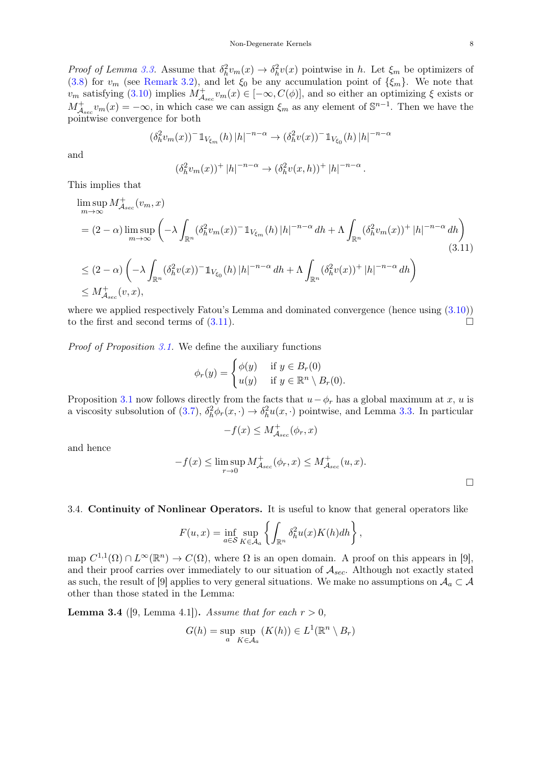Proof of Lemma [3.3.](#page-6-5) Assume that  $\delta_h^2 v_m(x) \to \delta_h^2 v(x)$  pointwise in h. Let  $\xi_m$  be optimizers of [\(3.8\)](#page-6-3) for  $v_m$  (see [Remark 3.2\)](#page-6-4), and let  $\xi_0$  be any accumulation point of  $\{\xi_m\}$ . We note that  $v_m$  satisfying [\(3.10\)](#page-6-2) implies  $M^+_{A_{sec}}v_m(x) \in [-\infty, C(\phi)],$  and so either an optimizing  $\xi$  exists or  $M_{A_{sec}}^+ v_m(x) = -\infty$ , in which case we can assign  $\xi_m$  as any element of  $\mathbb{S}^{n-1}$ . Then we have the pointwise convergence for both

$$
(\delta_h^2 v_m(x))^{-1} \mathbb{1}_{V_{\xi_m}}(h) |h|^{-n-\alpha} \to (\delta_h^2 v(x))^{-1} \mathbb{1}_{V_{\xi_0}}(h) |h|^{-n-\alpha}
$$

and

$$
(\delta_h^2 v_m(x))^+ |h|^{-n-\alpha} \to (\delta_h^2 v(x,h))^+ |h|^{-n-\alpha}
$$

<span id="page-7-0"></span>.

This implies that

$$
\limsup_{m \to \infty} M_{A_{sec}}^+(v_m, x)
$$
\n
$$
= (2 - \alpha) \limsup_{m \to \infty} \left( -\lambda \int_{\mathbb{R}^n} (\delta_h^2 v_m(x)) \mathbb{1}_{V_{\xi_m}}(h) |h|^{-n-\alpha} dh + \Lambda \int_{\mathbb{R}^n} (\delta_h^2 v_m(x))^{+} |h|^{-n-\alpha} dh \right)
$$
\n
$$
\leq (2 - \alpha) \left( -\lambda \int_{\mathbb{R}^n} (\delta_h^2 v(x)) \mathbb{1}_{V_{\xi_0}}(h) |h|^{-n-\alpha} dh + \Lambda \int_{\mathbb{R}^n} (\delta_h^2 v(x))^{+} |h|^{-n-\alpha} dh \right)
$$
\n
$$
\leq M_{A_{sec}}^+(v, x), \tag{3.11}
$$

where we applied respectively Fatou's Lemma and dominated convergence (hence using  $(3.10)$ ) to the first and second terms of  $(3.11)$ .

Proof of Proposition [3.1.](#page-6-0) We define the auxiliary functions

$$
\phi_r(y) = \begin{cases} \phi(y) & \text{if } y \in B_r(0) \\ u(y) & \text{if } y \in \mathbb{R}^n \setminus B_r(0). \end{cases}
$$

Proposition [3.1](#page-6-0) now follows directly from the facts that  $u-\phi_r$  has a global maximum at x, u is a viscosity subsolution of [\(3.7\)](#page-5-2),  $\delta_h^2 \phi_r(x, \cdot) \to \delta_h^2 u(x, \cdot)$  pointwise, and Lemma [3.3.](#page-6-5) In particular

$$
-f(x) \le M^+_{A_{sec}}(\phi_r, x)
$$

and hence

$$
-f(x) \le \limsup_{r \to 0} M^+_{A\sec}(\phi_r, x) \le M^+_{A\sec}(u, x).
$$

3.4. Continuity of Nonlinear Operators. It is useful to know that general operators like

$$
F(u,x) = \inf_{a \in \mathcal{S}} \sup_{K \in \mathcal{A}_a} \left\{ \int_{\mathbb{R}^n} \delta_h^2 u(x) K(h) dh \right\},\,
$$

map  $C^{1,1}(\Omega) \cap L^{\infty}(\mathbb{R}^n) \to C(\Omega)$ , where  $\Omega$  is an open domain. A proof on this appears in [\[9\]](#page-24-0), and their proof carries over immediately to our situation of  $A_{sec}$ . Although not exactly stated as such, the result of [\[9\]](#page-24-0) applies to very general situations. We make no assumptions on  $A_a \subset A$ other than those stated in the Lemma:

<span id="page-7-1"></span>**Lemma 3.4** ([\[9,](#page-24-0) Lemma 4.1]). Assume that for each  $r > 0$ ,

$$
G(h) = \sup_{a} \sup_{K \in \mathcal{A}_a} (K(h)) \in L^1(\mathbb{R}^n \setminus B_r)
$$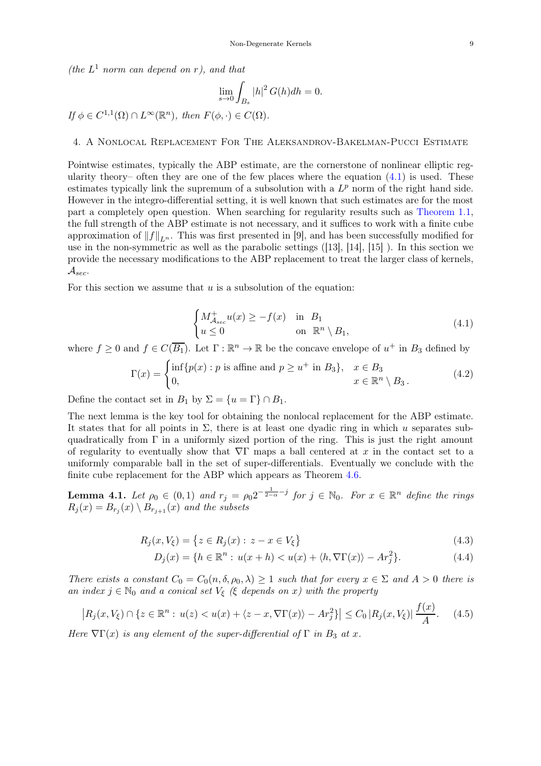(the  $L^1$  norm can depend on r), and that

<span id="page-8-0"></span>If  $\phi \in C^{1,1}$ 

$$
\lim_{s \to 0} \int_{B_s} |h|^2 G(h) dh = 0.
$$
  
(*Ω*)  $\cap L^{\infty}(\mathbb{R}^n)$ , then  $F(\phi, \cdot) \in C(\Omega)$ .

#### 4. A Nonlocal Replacement For The Aleksandrov-Bakelman-Pucci Estimate

Pointwise estimates, typically the ABP estimate, are the cornerstone of nonlinear elliptic regularity theory– often they are one of the few places where the equation  $(4.1)$  is used. These estimates typically link the supremum of a subsolution with a  $L^p$  norm of the right hand side. However in the integro-differential setting, it is well known that such estimates are for the most part a completely open question. When searching for regularity results such as [Theorem 1.1,](#page-1-1) the full strength of the ABP estimate is not necessary, and it suffices to work with a finite cube approximation of  $||f||_{L^n}$ . This was first presented in [\[9\]](#page-24-0), and has been successfully modified for use in the non-symmetric as well as the parabolic settings  $([13], [14], [15]$  $([13], [14], [15]$  $([13], [14], [15]$  $([13], [14], [15]$  $([13], [14], [15]$  $([13], [14], [15]$ ). In this section we provide the necessary modifications to the ABP replacement to treat the larger class of kernels,  $\mathcal{A}_{sec}$ .

For this section we assume that  $u$  is a subsolution of the equation:

<span id="page-8-5"></span><span id="page-8-2"></span>
$$
\begin{cases} M_{A_{sec}}^+ u(x) \ge -f(x) & \text{in } B_1 \\ u \le 0 & \text{on } \mathbb{R}^n \setminus B_1, \end{cases}
$$
 (4.1)

where  $f \ge 0$  and  $f \in C(\overline{B_1})$ . Let  $\Gamma : \mathbb{R}^n \to \mathbb{R}$  be the concave envelope of  $u^+$  in  $B_3$  defined by

$$
\Gamma(x) = \begin{cases} \inf\{p(x) : p \text{ is affine and } p \ge u^+ \text{ in } B_3\}, & x \in B_3 \\ 0, & x \in \mathbb{R}^n \setminus B_3. \end{cases}
$$
(4.2)

Define the contact set in  $B_1$  by  $\Sigma = \{u = \Gamma\} \cap B_1$ .

The next lemma is the key tool for obtaining the nonlocal replacement for the ABP estimate. It states that for all points in  $\Sigma$ , there is at least one dyadic ring in which u separates subquadratically from  $\Gamma$  in a uniformly sized portion of the ring. This is just the right amount of regularity to eventually show that  $\nabla\Gamma$  maps a ball centered at x in the contact set to a uniformly comparable ball in the set of super-differentials. Eventually we conclude with the finite cube replacement for the ABP which appears as Theorem [4.6.](#page-13-0)

<span id="page-8-1"></span>**Lemma 4.1.** Let  $\rho_0 \in (0,1)$  and  $r_j = \rho_0 2^{-\frac{1}{2-\alpha}-j}$  for  $j \in \mathbb{N}_0$ . For  $x \in \mathbb{R}^n$  define the rings  $R_j(x) = B_{r_j}(x) \setminus B_{r_{j+1}}(x)$  and the subsets

$$
R_j(x, V_{\xi}) = \{ z \in R_j(x) : z - x \in V_{\xi} \}
$$
\n(4.3)

<span id="page-8-4"></span><span id="page-8-3"></span>
$$
D_j(x) = \{ h \in \mathbb{R}^n : u(x+h) < u(x) + \langle h, \nabla \Gamma(x) \rangle - Ar_j^2 \}. \tag{4.4}
$$

There exists a constant  $C_0 = C_0(n, \delta, \rho_0, \lambda) \geq 1$  such that for every  $x \in \Sigma$  and  $A > 0$  there is an index  $j \in \mathbb{N}_0$  and a conical set  $V_{\xi}$  ( $\xi$  depends on x) with the property

$$
\left| R_j(x, V_{\xi}) \cap \{ z \in \mathbb{R}^n : u(z) < u(x) + \langle z - x, \nabla \Gamma(x) \rangle - Ar_j^2 \} \right| \le C_0 \left| R_j(x, V_{\xi}) \right| \frac{f(x)}{A}.\tag{4.5}
$$

Here  $\nabla \Gamma(x)$  is any element of the super-differential of  $\Gamma$  in  $B_3$  at x.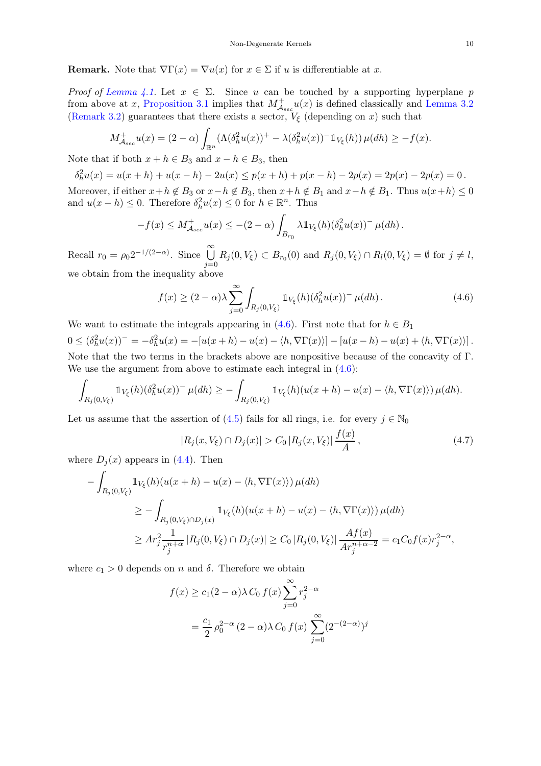**Remark.** Note that  $\nabla \Gamma(x) = \nabla u(x)$  for  $x \in \Sigma$  if u is differentiable at x.

Proof of [Lemma 4.1.](#page-8-1) Let  $x \in \Sigma$ . Since u can be touched by a supporting hyperplane p from above at x, [Proposition 3.1](#page-6-0) implies that  $M^+_{A_{\text{max}}}u(x)$  is defined classically and [Lemma 3.2](#page-6-1) [\(Remark 3.2\)](#page-6-4) guarantees that there exists a sector,  $V_{\xi}$  (depending on x) such that

$$
M^+_{\mathcal{A}_{sec}}u(x) = (2-\alpha)\int_{\mathbb{R}^n} (\Lambda(\delta_h^2 u(x))^+ - \lambda(\delta_h^2 u(x))^-\mathbb{1}_{V_{\xi}}(h))\,\mu(dh) \ge -f(x).
$$

Note that if both  $x + h \in B_3$  and  $x - h \in B_3$ , then

$$
\delta_h^2 u(x) = u(x+h) + u(x-h) - 2u(x) \le p(x+h) + p(x-h) - 2p(x) = 2p(x) - 2p(x) = 0.
$$

Moreover, if either  $x+h \notin B_3$  or  $x-h \notin B_3$ , then  $x+h \notin B_1$  and  $x-h \notin B_1$ . Thus  $u(x+h) \leq 0$ and  $u(x-h) \leq 0$ . Therefore  $\delta_h^2 u(x) \leq 0$  for  $h \in \mathbb{R}^n$ . Thus

$$
-f(x) \leq M^+_{\mathcal{A}_{sec}} u(x) \leq -(2-\alpha) \int_{B_{r_0}} \lambda \mathbb{1}_{V_{\xi}}(h) (\delta_h^2 u(x))^-\mu(dh).
$$

Recall  $r_0 = \rho_0 2^{-1/(2-\alpha)}$ . Since  $\bigcup^{\infty}$  $\bigcup_{j=0}$   $R_j(0, V_{\xi}) \subset B_{r_0}(0)$  and  $R_j(0, V_{\xi}) \cap R_l(0, V_{\xi}) = \emptyset$  for  $j \neq l$ , we obtain from the inequality above

<span id="page-9-0"></span>
$$
f(x) \ge (2 - \alpha)\lambda \sum_{j=0}^{\infty} \int_{R_j(0, V_{\xi})} \mathbb{1}_{V_{\xi}}(h) (\delta_h^2 u(x))^{-} \mu(dh).
$$
 (4.6)

We want to estimate the integrals appearing in  $(4.6)$ . First note that for  $h \in B_1$  $0 \leq (\delta_h^2 u(x))^- = -\delta_h^2 u(x) = -[u(x+h) - u(x) - \langle h, \nabla \Gamma(x) \rangle] - [u(x-h) - u(x) + \langle h, \nabla \Gamma(x) \rangle].$ Note that the two terms in the brackets above are nonpositive because of the concavity of Γ. We use the argument from above to estimate each integral in  $(4.6)$ :

$$
\int_{R_j(0,V_{\xi})} \mathbb{1}_{V_{\xi}}(h)(\delta_h^2 u(x))^-\mu(dh) \geq -\int_{R_j(0,V_{\xi})} \mathbb{1}_{V_{\xi}}(h)(u(x+h)-u(x)-\langle h,\nabla\Gamma(x)\rangle)\mu(dh).
$$

Let us assume that the assertion of [\(4.5\)](#page-8-3) fails for all rings, i.e. for every  $j \in \mathbb{N}_0$ 

$$
|R_j(x, V_{\xi}) \cap D_j(x)| > C_0 |R_j(x, V_{\xi})| \frac{f(x)}{A}, \qquad (4.7)
$$

where  $D_j(x)$  appears in [\(4.4\)](#page-8-4). Then

$$
- \int_{R_j(0,V_{\xi})} \mathbb{1}_{V_{\xi}}(h)(u(x+h) - u(x) - \langle h, \nabla \Gamma(x) \rangle) \mu(dh)
$$
  
\n
$$
\geq - \int_{R_j(0,V_{\xi}) \cap D_j(x)} \mathbb{1}_{V_{\xi}}(h)(u(x+h) - u(x) - \langle h, \nabla \Gamma(x) \rangle) \mu(dh)
$$
  
\n
$$
\geq Ar_j^2 \frac{1}{r_j^{n+\alpha}} |R_j(0,V_{\xi}) \cap D_j(x)| \geq C_0 |R_j(0,V_{\xi})| \frac{Af(x)}{Ar_j^{n+\alpha-2}} = c_1 C_0 f(x) r_j^{2-\alpha},
$$

where  $c_1 > 0$  depends on n and  $\delta$ . Therefore we obtain

$$
f(x) \ge c_1(2-\alpha)\lambda C_0 f(x) \sum_{j=0}^{\infty} r_j^{2-\alpha}
$$
  
= 
$$
\frac{c_1}{2} \rho_0^{2-\alpha} (2-\alpha)\lambda C_0 f(x) \sum_{j=0}^{\infty} (2^{-(2-\alpha)})^j
$$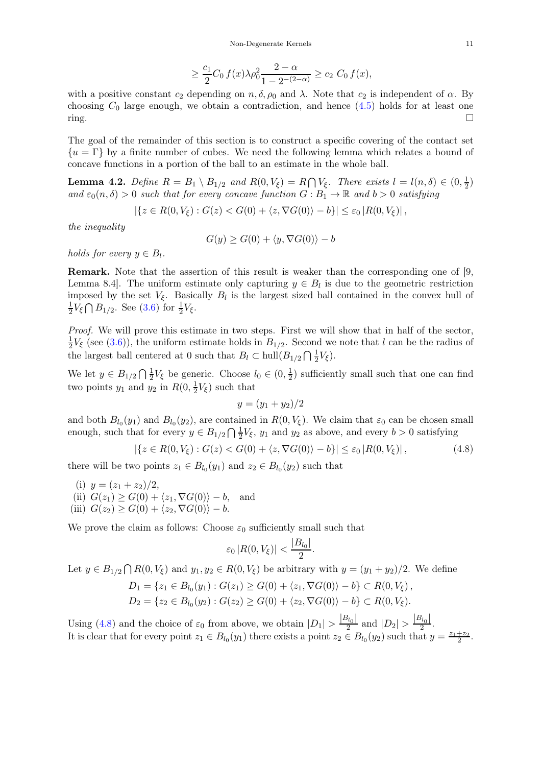$$
\geq \frac{c_1}{2}C_0 f(x)\lambda \rho_0^2 \frac{2-\alpha}{1-2^{-(2-\alpha)}} \geq c_2 C_0 f(x),
$$

with a positive constant  $c_2$  depending on  $n, \delta, \rho_0$  and  $\lambda$ . Note that  $c_2$  is independent of  $\alpha$ . By choosing  $C_0$  large enough, we obtain a contradiction, and hence  $(4.5)$  holds for at least one  $\Box$ 

The goal of the remainder of this section is to construct a specific covering of the contact set  ${u = \Gamma}$  by a finite number of cubes. We need the following lemma which relates a bound of concave functions in a portion of the ball to an estimate in the whole ball.

<span id="page-10-0"></span>**Lemma 4.2.** Define  $R = B_1 \setminus B_{1/2}$  and  $R(0, V_{\xi}) = R \bigcap V_{\xi}$ . There exists  $l = l(n, \delta) \in (0, \frac{1}{2})$  $(\frac{1}{2})$ and  $\varepsilon_0(n,\delta) > 0$  such that for every concave function  $G : B_1 \to \mathbb{R}$  and  $b > 0$  satisfying

$$
|\{z \in R(0, V_{\xi}) : G(z) < G(0) + \langle z, \nabla G(0) \rangle - b\}| \leq \varepsilon_0 |R(0, V_{\xi})|,
$$

the inequality

$$
G(y) \ge G(0) + \langle y, \nabla G(0) \rangle - b
$$

holds for every  $y \in B_l$ .

Remark. Note that the assertion of this result is weaker than the corresponding one of [\[9,](#page-24-0) Lemma 8.4. The uniform estimate only capturing  $y \in B_l$  is due to the geometric restriction imposed by the set  $V_{\xi}$ . Basically  $B_l$  is the largest sized ball contained in the convex hull of 1  $\frac{1}{2}V_{\xi} \bigcap B_{1/2}$ . See [\(3.6\)](#page-5-3) for  $\frac{1}{2}V_{\xi}$ .

Proof. We will prove this estimate in two steps. First we will show that in half of the sector, 1  $\frac{1}{2}V_{\xi}$  (see [\(3.6\)](#page-5-3)), the uniform estimate holds in  $B_{1/2}$ . Second we note that l can be the radius of the largest ball centered at 0 such that  $B_l \subset \text{hull}(B_{1/2} \cap \frac{1}{2}V_{\xi})$ .

We let  $y \in B_{1/2} \cap \frac{1}{2}V_{\xi}$  be generic. Choose  $l_0 \in (0, \frac{1}{2})$  $\frac{1}{2}$ ) sufficiently small such that one can find two points  $y_1$  and  $y_2$  in  $R(0, \frac{1}{2})$  $\frac{1}{2}V_{\xi}$  such that

<span id="page-10-1"></span>
$$
y=(y_1+y_2)/2
$$

and both  $B_{l_0}(y_1)$  and  $B_{l_0}(y_2)$ , are contained in  $R(0, V_{\xi})$ . We claim that  $\varepsilon_0$  can be chosen small enough, such that for every  $y \in B_{1/2} \cap \frac{1}{2}V_{\xi}$ ,  $y_1$  and  $y_2$  as above, and every  $b > 0$  satisfying

$$
|\{z \in R(0, V_{\xi}) : G(z) < G(0) + \langle z, \nabla G(0) \rangle - b\}| \leq \varepsilon_0 |R(0, V_{\xi})| \,,\tag{4.8}
$$

there will be two points  $z_1 \in B_{l_0}(y_1)$  and  $z_2 \in B_{l_0}(y_2)$  such that

(i)  $y = (z_1 + z_2)/2$ , (ii)  $G(z_1) \geq G(0) + \langle z_1, \nabla G(0) \rangle - b$ , and (iii)  $G(z_2) \geq G(0) + \langle z_2, \nabla G(0) \rangle - b.$ 

We prove the claim as follows: Choose  $\varepsilon_0$  sufficiently small such that

$$
\varepsilon_0 |R(0,V_{\xi})| < \frac{|B_{l_0}|}{2}.
$$

Let  $y \in B_{1/2} \cap R(0, V_{\xi})$  and  $y_1, y_2 \in R(0, V_{\xi})$  be arbitrary with  $y = (y_1 + y_2)/2$ . We define  $D_1 = \{z_1 \in B_{l_0}(y_1) : G(z_1) \ge G(0) + \langle z_1, \nabla G(0) \rangle - b\} \subset R(0, V_{\xi}),$  $D_2 = \{z_2 \in B_{l_0}(y_2) : G(z_2) \geq G(0) + \langle z_2, \nabla G(0) \rangle - b\} \subset R(0, V_{\xi}).$ 

Using [\(4.8\)](#page-10-1) and the choice of  $\varepsilon_0$  from above, we obtain  $|D_1| > \frac{|B_{l_0}|}{2}$  and  $|D_2| > \frac{|B_{l_0}|}{2}$ . It is clear that for every point  $z_1 \in B_{l_0}(y_1)$  there exists a point  $z_2 \in B_{l_0}(y_2)$  such that  $y = \frac{z_1+z_2}{2}$ .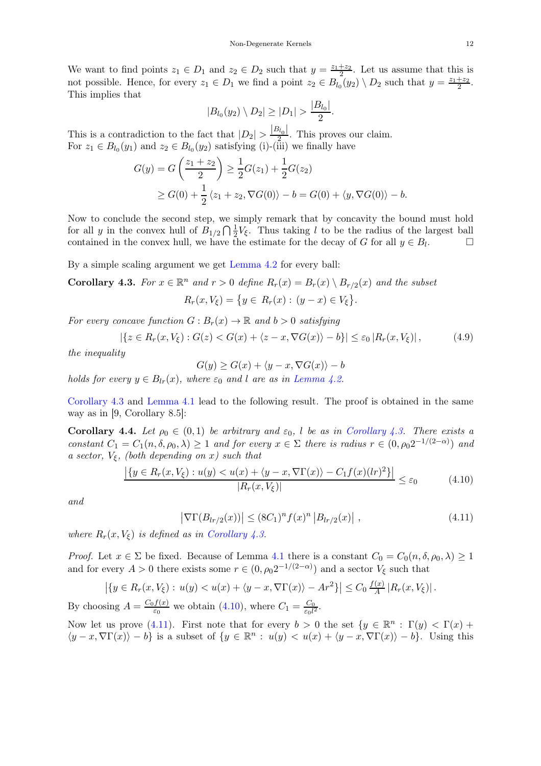We want to find points  $z_1 \in D_1$  and  $z_2 \in D_2$  such that  $y = \frac{z_1+z_2}{2}$ . Let us assume that this is not possible. Hence, for every  $z_1 \in D_1$  we find a point  $z_2 \in B_{l_0}(y_2) \setminus D_2$  such that  $y = \frac{z_1+z_2}{2}$ . This implies that

$$
|B_{l_0}(y_2) \setminus D_2| \ge |D_1| > \frac{|B_{l_0}|}{2}.
$$

This is a contradiction to the fact that  $|D_2| > \frac{|B_{l_0}|}{r^2}$ . This proves our claim. For  $z_1 \in B_{l_0}(y_1)$  and  $z_2 \in B_{l_0}(y_2)$  satisfying (i)-(iii) we finally have

$$
G(y) = G\left(\frac{z_1 + z_2}{2}\right) \ge \frac{1}{2}G(z_1) + \frac{1}{2}G(z_2)
$$
  
\n
$$
\ge G(0) + \frac{1}{2}\langle z_1 + z_2, \nabla G(0) \rangle - b = G(0) + \langle y, \nabla G(0) \rangle - b.
$$

Now to conclude the second step, we simply remark that by concavity the bound must hold for all y in the convex hull of  $B_{1/2} \cap \frac{1}{2}V_{\xi}$ . Thus taking l to be the radius of the largest ball contained in the convex hull, we have the estimate for the decay of G for all  $y \in B_l$ .  $\Box$ 

By a simple scaling argument we get [Lemma 4.2](#page-10-0) for every ball:

<span id="page-11-0"></span>Corollary 4.3. For 
$$
x \in \mathbb{R}^n
$$
 and  $r > 0$  define  $R_r(x) = B_r(x) \setminus B_{r/2}(x)$  and the subset  

$$
R_r(x, V_{\xi}) = \{ y \in R_r(x) : (y - x) \in V_{\xi} \}.
$$

For every concave function  $G: B_r(x) \to \mathbb{R}$  and  $b > 0$  satisfying

$$
|\{z \in R_r(x, V_\xi) : G(z) < G(x) + \langle z - x, \nabla G(x) \rangle - b\}| \leq \varepsilon_0 \left| R_r(x, V_\xi) \right|,\tag{4.9}
$$

the inequality

$$
G(y) \ge G(x) + \langle y - x, \nabla G(x) \rangle - b
$$

holds for every  $y \in B_{lr}(x)$ , where  $\varepsilon_0$  and l are as in [Lemma 4.2.](#page-10-0)

[Corollary 4.3](#page-11-0) and [Lemma 4.1](#page-8-1) lead to the following result. The proof is obtained in the same way as in [\[9,](#page-24-0) Corollary 8.5]:

<span id="page-11-3"></span>**Corollary 4.4.** Let  $\rho_0 \in (0,1)$  be arbitrary and  $\varepsilon_0$ , l be as in [Corollary 4.3.](#page-11-0) There exists a constant  $C_1 = C_1(n, \delta, \rho_0, \lambda) \ge 1$  and for every  $x \in \Sigma$  there is radius  $r \in (0, \rho_0 2^{-1/(2-\alpha)})$  and a sector,  $V_{\xi}$ , (both depending on x) such that

$$
\frac{\left| \left\{ y \in R_r(x, V_{\xi}) : u(y) < u(x) + \langle y - x, \nabla \Gamma(x) \rangle - C_1 f(x) (l r)^2 \right\} \right|}{|R_r(x, V_{\xi})|} \leq \varepsilon_0 \tag{4.10}
$$

and

<span id="page-11-2"></span><span id="page-11-1"></span>
$$
\left|\nabla\Gamma(B_{lr/2}(x))\right| \le (8C_1)^n f(x)^n \left|B_{lr/2}(x)\right| \,,\tag{4.11}
$$

where  $R_r(x, V_{\xi})$  is defined as in [Corollary 4.3.](#page-11-0)

*Proof.* Let  $x \in \Sigma$  be fixed. Because of Lemma [4.1](#page-8-1) there is a constant  $C_0 = C_0(n, \delta, \rho_0, \lambda) \ge 1$ and for every  $A > 0$  there exists some  $r \in (0, \rho_0 2^{-1/(2-\alpha)})$  and a sector  $V_{\xi}$  such that

$$
\left| \{ y \in R_r(x, V_{\xi}) : u(y) < u(x) + \langle y - x, \nabla \Gamma(x) \rangle - Ar^2 \} \right| \le C_0 \frac{f(x)}{A} \left| R_r(x, V_{\xi}) \right|.
$$
\nBy choosing  $A = \frac{C_0 f(x)}{\varepsilon_0}$  we obtain (4.10), where  $C_1 = \frac{C_0}{\varepsilon_0 l^2}$ .

 $\frac{f(x)}{\varepsilon_0}$  we obtain [\(4.10\)](#page-11-1), where  $C_1 = \frac{C_0}{\varepsilon_0 l^2}$  $\frac{C_0}{\varepsilon_0 l^2}.$ Now let us prove [\(4.11\)](#page-11-2). First note that for every  $b > 0$  the set  $\{y \in \mathbb{R}^n : \Gamma(y) < \Gamma(x) +$  $\langle y-x, \nabla \Gamma(x) \rangle - b$  is a subset of  $\{y \in \mathbb{R}^n : u(y) < u(x) + \langle y-x, \nabla \Gamma(x) \rangle - b\}$ . Using this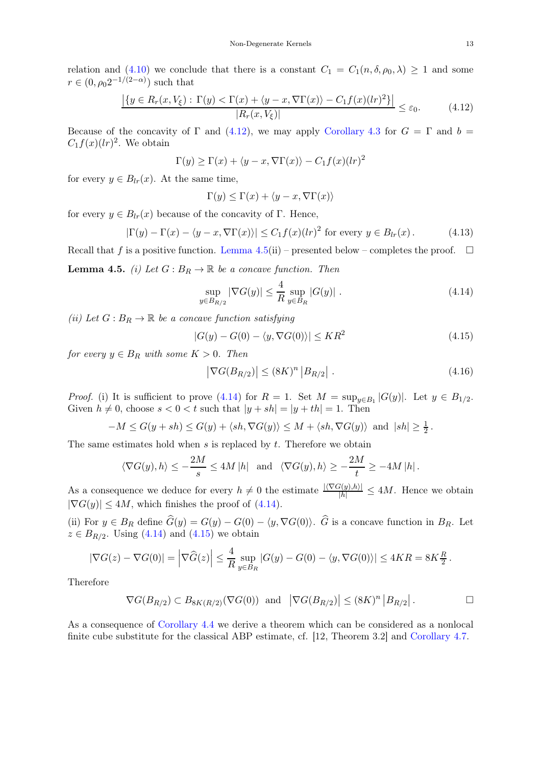relation and [\(4.10\)](#page-11-1) we conclude that there is a constant  $C_1 = C_1(n, \delta, \rho_0, \lambda) \geq 1$  and some  $r \in (0, \rho_0 2^{-1/(2-\alpha)})$  such that

$$
\frac{\left|\left\{y \in R_r(x, V_\xi) : \Gamma(y) < \Gamma(x) + \langle y - x, \nabla \Gamma(x) \rangle - C_1 f(x) (l r)^2\right\}\right|}{|R_r(x, V_\xi)|} \leq \varepsilon_0. \tag{4.12}
$$

Because of the concavity of  $\Gamma$  and [\(4.12\)](#page-12-0), we may apply [Corollary 4.3](#page-11-0) for  $G = \Gamma$  and  $b =$  $C_1 f(x)(lr)^2$ . We obtain

$$
\Gamma(y) \ge \Gamma(x) + \langle y - x, \nabla \Gamma(x) \rangle - C_1 f(x) (l r)^2
$$

for every  $y \in B_{lr}(x)$ . At the same time,

<span id="page-12-0"></span>
$$
\Gamma(y) \le \Gamma(x) + \langle y - x, \nabla \Gamma(x) \rangle
$$

for every  $y \in B_{lr}(x)$  because of the concavity of Γ. Hence,

$$
|\Gamma(y) - \Gamma(x) - \langle y - x, \nabla \Gamma(x) \rangle| \le C_1 f(x) (l r)^2 \text{ for every } y \in B_{l r}(x).
$$
 (4.13)

Recall that f is a positive function. [Lemma 4.5\(](#page-12-1)ii) – presented below – completes the proof.  $\Box$ 

<span id="page-12-1"></span>**Lemma 4.5.** (i) Let  $G : B_R \to \mathbb{R}$  be a concave function. Then

<span id="page-12-2"></span>
$$
\sup_{y \in B_{R/2}} |\nabla G(y)| \le \frac{4}{R} \sup_{y \in B_R} |G(y)| . \tag{4.14}
$$

(ii) Let  $G : B_R \to \mathbb{R}$  be a concave function satisfying

$$
|G(y) - G(0) - \langle y, \nabla G(0) \rangle| \le KR^2
$$
\n(4.15)

for every  $y \in B_R$  with some  $K > 0$ . Then

<span id="page-12-3"></span>
$$
\left| \nabla G(B_{R/2}) \right| \le (8K)^n \left| B_{R/2} \right| \,. \tag{4.16}
$$

*Proof.* (i) It is sufficient to prove [\(4.14\)](#page-12-2) for  $R = 1$ . Set  $M = \sup_{y \in B_1} |G(y)|$ . Let  $y \in B_{1/2}$ . Given  $h \neq 0$ , choose  $s < 0 < t$  such that  $|y + sh| = |y + th| = 1$ . Then

$$
-M \le G(y + sh) \le G(y) + \langle sh, \nabla G(y) \rangle \le M + \langle sh, \nabla G(y) \rangle \text{ and } |sh| \ge \frac{1}{2}.
$$

The same estimates hold when  $s$  is replaced by  $t$ . Therefore we obtain

$$
\langle \nabla G(y), h \rangle \le -\frac{2M}{s} \le 4M \, |h| \quad \text{and} \quad \langle \nabla G(y), h \rangle \ge -\frac{2M}{t} \ge -4M \, |h| \, .
$$

As a consequence we deduce for every  $h \neq 0$  the estimate  $\frac{|\langle \nabla G(y), h \rangle|}{|h|} \leq 4M$ . Hence we obtain  $|\nabla G(y)| \leq 4M$ , which finishes the proof of [\(4.14\)](#page-12-2).

(ii) For  $y \in B_R$  define  $\hat{G}(y) = G(y) - G(0) - \langle y, \nabla G(0) \rangle$ .  $\hat{G}$  is a concave function in  $B_R$ . Let  $z \in B_{R/2}$ . Using [\(4.14\)](#page-12-2) and [\(4.15\)](#page-12-3) we obtain

$$
|\nabla G(z) - \nabla G(0)| = \left| \nabla \widehat{G}(z) \right| \leq \frac{4}{R} \sup_{y \in B_R} |G(y) - G(0) - \langle y, \nabla G(0) \rangle| \leq 4KR = 8K \frac{R}{2}.
$$

Therefore

$$
\nabla G(B_{R/2}) \subset B_{8K(R/2)}(\nabla G(0)) \text{ and } |\nabla G(B_{R/2})| \le (8K)^n |B_{R/2}|.
$$

As a consequence of [Corollary 4.4](#page-11-3) we derive a theorem which can be considered as a nonlocal finite cube substitute for the classical ABP estimate, cf. [\[12,](#page-24-1) Theorem 3.2] and [Corollary 4.7.](#page-14-1)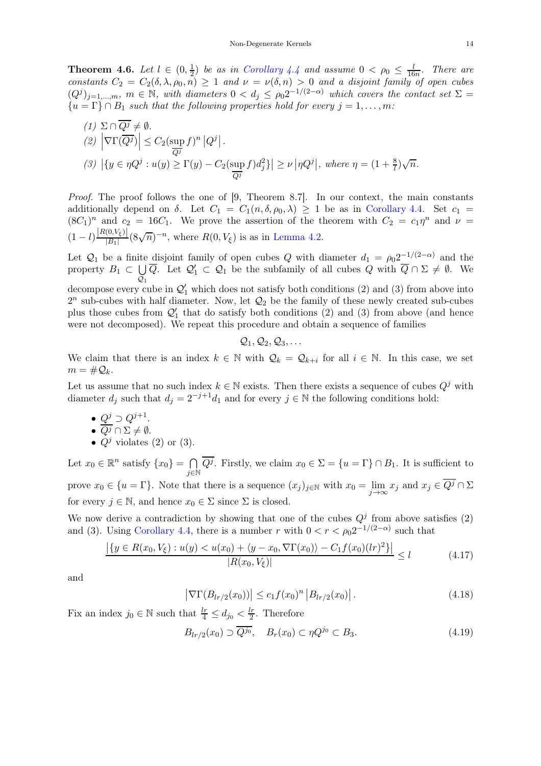<span id="page-13-0"></span>Theorem 4.6. Let  $l \in (0, \frac{1}{2})$  $\frac{1}{2}$ ) be as in [Corollary 4.4](#page-11-3) and assume  $0 < \rho_0 \leq \frac{1}{16}$  $\frac{l}{16n}$ . There are constants  $C_2 = C_2(\delta, \lambda, \rho_0, n) \ge 1$  and  $\nu = \nu(\delta, n) > 0$  and a disjoint family of open cubes  $(Q^{j})_{j=1,\dots,m}$ ,  $m \in \mathbb{N}$ , with diameters  $0 < d_j \leq \rho_0 2^{-1/(2-\alpha)}$  which covers the contact set  $\Sigma =$  ${u = \Gamma} \cap B_1$  such that the following properties hold for every  $j = 1, ..., m$ :

$$
(1) \ \Sigma \cap Q^{j} \neq \emptyset.
$$
  
\n
$$
(2) \ |\nabla \Gamma(\overline{Q^{j}})| \leq C_{2} (\sup_{\overline{Q^{j}}} f)^{n} |Q^{j}|.
$$
  
\n
$$
(3) \ |\{y \in \eta Q^{j} : u(y) \geq \Gamma(y) - C_{2} (\sup_{\overline{Q^{j}}} f) d_{j}^{2}\}| \geq \nu | \eta Q^{j} |, \text{ where } \eta = (1 + \frac{8}{l})\sqrt{n}.
$$

Proof. The proof follows the one of [\[9,](#page-24-0) Theorem 8.7]. In our context, the main constants additionally depend on  $\delta$ . Let  $C_1 = C_1(n, \delta, \rho_0, \lambda) \geq 1$  be as in [Corollary 4.4.](#page-11-3) Set  $c_1 =$  $(8C_1)^n$  and  $c_2 = 16C_1$ . We prove the assertion of the theorem with  $C_2 = c_1 \eta^n$  and  $\nu =$  $(1-l)\frac{|R(0,V_{\xi})|}{|B_1|}$  $\frac{(0,V_{\xi})|}{|B_1|}(8\sqrt{n})^{-n}$ , where  $R(0,V_{\xi})$  is as in [Lemma 4.2.](#page-10-0)

Let  $\mathcal{Q}_1$  be a finite disjoint family of open cubes Q with diameter  $d_1 = \rho_0 2^{-1/(2-\alpha)}$  and the property  $B_1 \subset \bigcup \overline{Q}$ . Let  $\mathcal{Q}'_1 \subset \mathcal{Q}_1$  be the subfamily of all cubes  $Q$  with  $\overline{Q} \cap \Sigma \neq \emptyset$ . We decompose every cube in  $Q'_1$  which does not satisfy both conditions (2) and (3) from above into  $2^n$  sub-cubes with half diameter. Now, let  $\mathcal{Q}_2$  be the family of these newly created sub-cubes plus those cubes from  $Q'_1$  that do satisfy both conditions (2) and (3) from above (and hence were not decomposed). We repeat this procedure and obtain a sequence of families

 $\mathcal{Q}_1, \mathcal{Q}_2, \mathcal{Q}_3, \ldots$ 

We claim that there is an index  $k \in \mathbb{N}$  with  $\mathcal{Q}_k = \mathcal{Q}_{k+i}$  for all  $i \in \mathbb{N}$ . In this case, we set  $m = \#\mathcal{Q}_k.$ 

Let us assume that no such index  $k \in \mathbb{N}$  exists. Then there exists a sequence of cubes  $Q^j$  with diameter  $d_j$  such that  $d_j = 2^{-j+1}d_1$  and for every  $j \in \mathbb{N}$  the following conditions hold:

- $Q^j \supset Q^{j+1}$ .
- $Q^j \cap \Sigma \neq \emptyset$ .
- $Q^j$  violates (2) or (3).

Let  $x_0 \in \mathbb{R}^n$  satisfy  $\{x_0\} = \bigcap_{i \in \mathbb{N}}$  $j\in\mathbb{N}$  $Q^j$ . Firstly, we claim  $x_0 \in \Sigma = \{u = \Gamma\} \cap B_1$ . It is sufficient to prove  $x_0 \in \{u = \Gamma\}$ . Note that there is a sequence  $(x_j)_{j \in \mathbb{N}}$  with  $x_0 = \lim_{j \to \infty} x_j$  and  $x_j \in Q^j \cap \Sigma$ for every  $j \in \mathbb{N}$ , and hence  $x_0 \in \Sigma$  since  $\Sigma$  is closed.

We now derive a contradiction by showing that one of the cubes  $Q<sup>j</sup>$  from above satisfies (2) and (3). Using [Corollary 4.4,](#page-11-3) there is a number r with  $0 < r < \rho_0 2^{-1/(2-\alpha)}$  such that

$$
\frac{|\{y \in R(x_0, V_{\xi}) : u(y) < u(x_0) + \langle y - x_0, \nabla \Gamma(x_0) \rangle - C_1 f(x_0)(\ln^2)\}|}{|R(x_0, V_{\xi})|} \le l \tag{4.17}
$$

and

<span id="page-13-3"></span><span id="page-13-1"></span>
$$
\left|\nabla\Gamma(B_{lr/2}(x_0))\right| \le c_1 f(x_0)^n \left|B_{lr/2}(x_0)\right|.
$$
\n(4.18)

Fix an index  $j_0 \in \mathbb{N}$  such that  $\frac{lr}{4} \leq d_{j_0} < \frac{lr}{2}$  $\frac{dr}{2}$ . Therefore

<span id="page-13-2"></span>
$$
B_{lr/2}(x_0) \supset \overline{Q^{j_0}}, \quad B_r(x_0) \subset \eta Q^{j_0} \subset B_3. \tag{4.19}
$$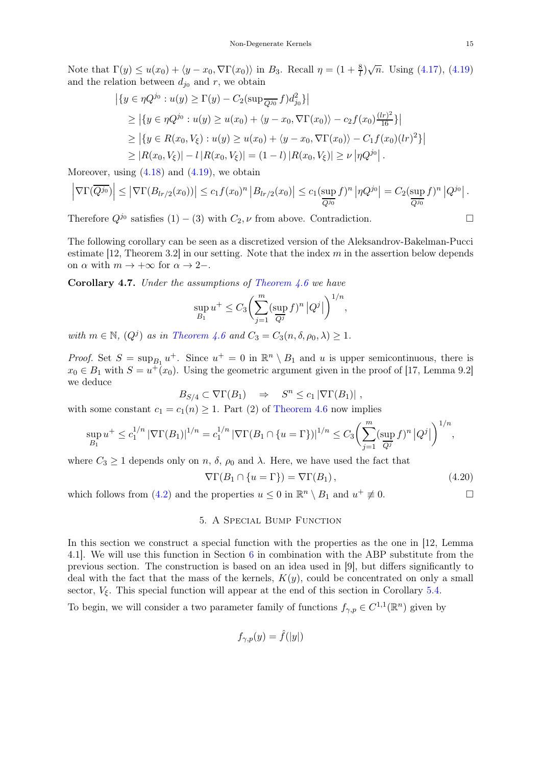Note that  $\Gamma(y) \le u(x_0) + \langle y - x_0, \nabla \Gamma(x_0) \rangle$  in  $B_3$ . Recall  $\eta = (1 + \frac{8}{l})\sqrt{n}$ . Using [\(4.17\)](#page-13-1), [\(4.19\)](#page-13-2) and the relation between  $d_{j_0}$  and r, we obtain

$$
\begin{aligned} \left| \{ y \in \eta Q^{j_0} : u(y) \ge \Gamma(y) - C_2(\sup \frac{1}{Q^{j_0}} f) d_{j_0}^2 \} \right| \\ &\ge \left| \{ y \in \eta Q^{j_0} : u(y) \ge u(x_0) + \langle y - x_0, \nabla \Gamma(x_0) \rangle - c_2 f(x_0) \frac{(lr)^2}{16} \} \right| \\ &\ge \left| \{ y \in R(x_0, V_\xi) : u(y) \ge u(x_0) + \langle y - x_0, \nabla \Gamma(x_0) \rangle - C_1 f(x_0) (lr)^2 \} \right| \\ &\ge \left| R(x_0, V_\xi) \right| - l \left| R(x_0, V_\xi) \right| = (1 - l) \left| R(x_0, V_\xi) \right| \ge \nu \left| \eta Q^{j_0} \right| . \end{aligned}
$$

Moreover, using  $(4.18)$  and  $(4.19)$ , we obtain

$$
\left|\nabla\Gamma(\overline{Q^{j_0}})\right| \leq \left|\nabla\Gamma(B_{lr/2}(x_0))\right| \leq c_1 f(x_0)^n \left|B_{lr/2}(x_0)\right| \leq c_1 (\sup_{\overline{Q^{j_0}}} f)^n \left|\eta Q^{j_0}\right| = C_2 (\sup_{\overline{Q^{j_0}}} f)^n \left|Q^{j_0}\right|.
$$

Therefore  $Q^{j_0}$  satisfies  $(1) - (3)$  with  $C_2, \nu$  from above. Contradiction.

The following corollary can be seen as a discretized version of the Aleksandrov-Bakelman-Pucci estimate  $[12,$  Theorem 3.2 in our setting. Note that the index m in the assertion below depends on  $\alpha$  with  $m \to +\infty$  for  $\alpha \to 2-$ .

<span id="page-14-1"></span>**Corollary 4.7.** Under the assumptions of Theorem  $4.6$  we have

$$
\sup_{B_1} u^+ \leq C_3 \bigg( \sum_{j=1}^m (\sup_{Q^j} f)^n |Q^j| \bigg)^{1/n},
$$

with  $m \in \mathbb{N}$ ,  $(Q^j)$  as in [Theorem 4.6](#page-13-0) and  $C_3 = C_3(n, \delta, \rho_0, \lambda) \ge 1$ .

*Proof.* Set  $S = \sup_{B_1} u^+$ . Since  $u^+ = 0$  in  $\mathbb{R}^n \setminus B_1$  and u is upper semicontinuous, there is  $x_0 \in B_1$  with  $S = u^+(x_0)$ . Using the geometric argument given in the proof of [\[17,](#page-24-2) Lemma 9.2] we deduce

$$
B_{S/4} \subset \nabla \Gamma(B_1) \quad \Rightarrow \quad S^n \leq c_1 |\nabla \Gamma(B_1)| \ ,
$$

with some constant  $c_1 = c_1(n) \geq 1$ . Part (2) of [Theorem 4.6](#page-13-0) now implies

$$
\sup_{B_1} u^+ \le c_1^{1/n} |\nabla \Gamma(B_1)|^{1/n} = c_1^{1/n} |\nabla \Gamma(B_1 \cap \{u = \Gamma\})|^{1/n} \le C_3 \left(\sum_{j=1}^m (\sup_{Q^j} f)^n |Q^j|\right)^{1/n},
$$

where  $C_3 \geq 1$  depends only on n,  $\delta$ ,  $\rho_0$  and  $\lambda$ . Here, we have used the fact that

$$
\nabla \Gamma(B_1 \cap \{u = \Gamma\}) = \nabla \Gamma(B_1),\tag{4.20}
$$

<span id="page-14-0"></span>which follows from [\(4.2\)](#page-8-5) and the properties  $u \leq 0$  in  $\mathbb{R}^n \setminus B_1$  and  $u^+ \not\equiv 0$ .

### 5. A Special Bump Function

In this section we construct a special function with the properties as the one in [\[12,](#page-24-1) Lemma 4.1]. We will use this function in Section [6](#page-19-0) in combination with the ABP substitute from the previous section. The construction is based on an idea used in [\[9\]](#page-24-0), but differs significantly to deal with the fact that the mass of the kernels,  $K(y)$ , could be concentrated on only a small sector,  $V_{\xi}$ . This special function will appear at the end of this section in Corollary [5.4.](#page-19-1)

To begin, we will consider a two parameter family of functions  $f_{\gamma,p} \in C^{1,1}(\mathbb{R}^n)$  given by

$$
f_{\gamma,p}(y) = \hat{f}(|y|)
$$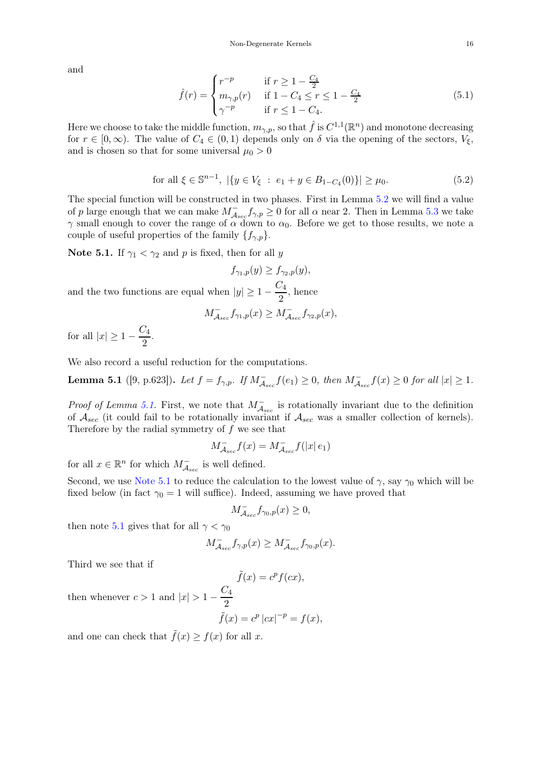and

$$
\hat{f}(r) = \begin{cases}\nr^{-p} & \text{if } r \ge 1 - \frac{C_4}{2} \\
m_{\gamma, p}(r) & \text{if } 1 - C_4 \le r \le 1 - \frac{C_4}{2} \\
\gamma^{-p} & \text{if } r \le 1 - C_4.\n\end{cases}
$$
\n(5.1)

Here we choose to take the middle function,  $m_{\gamma,p}$ , so that  $\hat{f}$  is  $C^{1,1}(\mathbb{R}^n)$  and monotone decreasing for  $r \in [0,\infty)$ . The value of  $C_4 \in (0,1)$  depends only on  $\delta$  via the opening of the sectors,  $V_{\xi}$ , and is chosen so that for some universal  $\mu_0 > 0$ 

for all 
$$
\xi \in \mathbb{S}^{n-1}
$$
,  $|\{y \in V_{\xi} : e_1 + y \in B_{1-C_4}(0)\}| \ge \mu_0$ . (5.2)

The special function will be constructed in two phases. First in Lemma [5.2](#page-16-0) we will find a value of p large enough that we can make  $M_{A_{sec}}^- f_{\gamma,p} \ge 0$  for all  $\alpha$  near 2. Then in Lemma [5.3](#page-18-0) we take  $\gamma$  small enough to cover the range of  $\alpha$  down to  $\alpha_0$ . Before we get to those results, we note a couple of useful properties of the family  $\{f_{\gamma,n}\}.$ 

<span id="page-15-1"></span>Note 5.1. If  $\gamma_1 < \gamma_2$  and p is fixed, then for all y

$$
f_{\gamma_1,p}(y) \geq f_{\gamma_2,p}(y),
$$
 and the two functions are equal when  
  $|y| \geq 1 - \frac{C_4}{2},$  hence

$$
M^-_{\mathcal{A}_{sec}} f_{\gamma_1, p}(x) \geq M^-_{\mathcal{A}_{sec}} f_{\gamma_2, p}(x),
$$

for all  $|x| \geq 1 - \frac{C_4}{2}$  $\frac{24}{2}$ .

We also record a useful reduction for the computations.

<span id="page-15-0"></span>**Lemma 5.1** ([\[9,](#page-24-0) p.623]). Let  $f = f_{\gamma,p}$ . If  $M_{A_{sec}}^- f(e_1) \ge 0$ , then  $M_{A_{sec}}^- f(x) \ge 0$  for all  $|x| \ge 1$ .

*Proof of Lemma [5.1.](#page-15-0)* First, we note that  $M_{A_{sec}}^-$  is rotationally invariant due to the definition of  $\mathcal{A}_{sec}$  (it could fail to be rotationally invariant if  $\mathcal{A}_{sec}$  was a smaller collection of kernels). Therefore by the radial symmetry of  $f$  we see that

$$
M_{A_{sec}}^- f(x) = M_{A_{sec}}^- f(|x| \, e_1)
$$

for all  $x \in \mathbb{R}^n$  for which  $M_{A_{sec}}^-$  is well defined.

Second, we use [Note 5.1](#page-15-1) to reduce the calculation to the lowest value of  $\gamma$ , say  $\gamma_0$  which will be fixed below (in fact  $\gamma_0 = 1$  will suffice). Indeed, assuming we have proved that

$$
M^-_{\mathcal{A}_{sec}} f_{\gamma_0, p}(x) \ge 0,
$$

then note [5.1](#page-15-1) gives that for all  $\gamma < \gamma_0$ 

$$
M^-_{\mathcal{A}_{sec}} f_{\gamma,p}(x) \ge M^-_{\mathcal{A}_{sec}} f_{\gamma_0,p}(x).
$$

Third we see that if

$$
\tilde{f}(x) = c^p f(cx),
$$

then whenever  $c > 1$  and  $|x| > 1 - \frac{C_4}{2}$ 2

$$
\tilde{f}(x) = c^p |cx|^{-p} = f(x),
$$

and one can check that  $\tilde{f}(x) \geq f(x)$  for all x.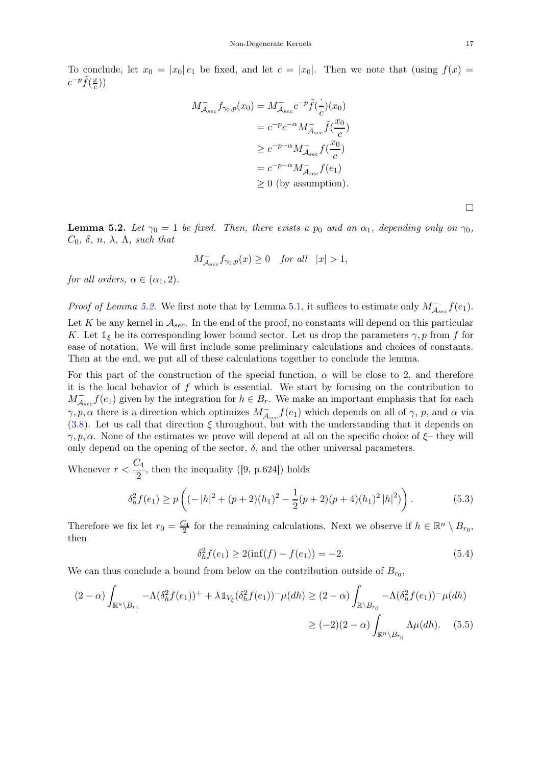To conclude, let  $x_0 = |x_0| e_1$  be fixed, and let  $c = |x_0|$ . Then we note that (using  $f(x) =$  $c^{-p}\tilde{f}(\frac{x}{c}$  $\frac{x}{c})$ 

$$
M_{A_{sec}}^- f_{\gamma_0, p}(x_0) = M_{A_{sec}}^- c^{-p} \tilde{f}(\frac{.}{c})(x_0)
$$
  
=  $c^{-p} c^{-\alpha} M_{A_{sec}}^- \tilde{f}(\frac{x_0}{c})$   
 $\geq c^{-p-\alpha} M_{A_{sec}}^- f(\frac{x_0}{c})$   
=  $c^{-p-\alpha} M_{A_{sec}}^- f(e_1)$   
 $\geq 0$  (by assumption).

 $\Box$ 

<span id="page-16-0"></span>**Lemma 5.2.** Let  $\gamma_0 = 1$  be fixed. Then, there exists a  $p_0$  and an  $\alpha_1$ , depending only on  $\gamma_0$ ,  $C_0$ ,  $\delta$ ,  $n$ ,  $\lambda$ ,  $\Lambda$ , such that

$$
M_{A_{sec}}^- f_{\gamma 0, p}(x) \ge 0 \quad \text{for all} \quad |x| > 1,
$$

for all orders,  $\alpha \in (\alpha_1, 2)$ .

*Proof of Lemma [5.2.](#page-16-0)* We first note that by Lemma [5.1,](#page-15-0) it suffices to estimate only  $M_{A_{sec}}^{\dagger} f(e_1)$ . Let K be any kernel in  $A_{sec}$ . In the end of the proof, no constants will depend on this particular K. Let  $\mathbb{1}_{\xi}$  be its corresponding lower bound sector. Let us drop the parameters  $\gamma, p$  from f for ease of notation. We will first include some preliminary calculations and choices of constants. Then at the end, we put all of these calculations together to conclude the lemma.

For this part of the construction of the special function,  $\alpha$  will be close to 2, and therefore it is the local behavior of  $f$  which is essential. We start by focusing on the contribution to  $M_{A_{sec}}^- f(e_1)$  given by the integration for  $h \in B_r$ . We make an important emphasis that for each  $\gamma, p, \alpha$  there is a direction which optimizes  $M_{A_{sec}}^{\dagger} f(e_1)$  which depends on all of  $\gamma, p$ , and  $\alpha$  via [\(3.8\)](#page-6-3). Let us call that direction  $\xi$  throughout, but with the understanding that it depends on  $\gamma, p, \alpha$ . None of the estimates we prove will depend at all on the specific choice of  $\xi$ – they will only depend on the opening of the sector,  $\delta$ , and the other universal parameters.

Whenever  $r < \frac{C_4}{2}$  $\frac{24}{2}$ , then the inequality ([\[9,](#page-24-0) p.624]) holds

<span id="page-16-1"></span>
$$
\delta_h^2 f(e_1) \ge p \left( (-|h|^2 + (p+2)(h_1)^2 - \frac{1}{2}(p+2)(p+4)(h_1)^2 |h|^2) \right). \tag{5.3}
$$

Therefore we fix let  $r_0 = \frac{C_4}{2}$  for the remaining calculations. Next we observe if  $h \in \mathbb{R}^n \setminus B_{r_0}$ , then

<span id="page-16-2"></span>
$$
\delta_h^2 f(e_1) \ge 2(\inf(f) - f(e_1)) = -2. \tag{5.4}
$$

We can thus conclude a bound from below on the contribution outside of  $B_{r_0}$ ,

$$
(2-\alpha)\int_{\mathbb{R}^n\setminus B_{r_0}} -\Lambda(\delta_h^2 f(e_1))^+ + \lambda \mathbb{1}_{V_{\xi}}(\delta_h^2 f(e_1))^-\mu(dh) \ge (2-\alpha)\int_{\mathbb{R}^n\setminus B_{r_0}} -\Lambda(\delta_h^2 f(e_1))^-\mu(dh)
$$

$$
\ge (-2)(2-\alpha)\int_{\mathbb{R}^n\setminus B_{r_0}} \Lambda \mu(dh). \quad (5.5)
$$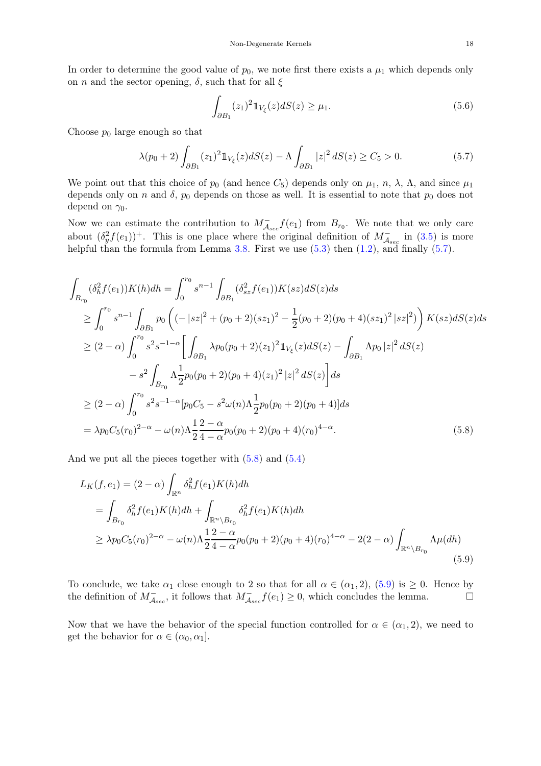In order to determine the good value of  $p_0$ , we note first there exists a  $\mu_1$  which depends only on *n* and the sector opening,  $\delta$ , such that for all  $\xi$ 

$$
\int_{\partial B_1} (z_1)^2 \mathbb{1}_{V_{\xi}}(z) dS(z) \ge \mu_1. \tag{5.6}
$$

Choose  $p_0$  large enough so that

<span id="page-17-0"></span>
$$
\lambda(p_0+2)\int_{\partial B_1}(z_1)^2 1\!\!1_{V_\xi}(z)dS(z) - \Lambda \int_{\partial B_1}|z|^2\,dS(z) \ge C_5 > 0. \tag{5.7}
$$

We point out that this choice of  $p_0$  (and hence  $C_5$ ) depends only on  $\mu_1$ , n,  $\lambda$ ,  $\Lambda$ , and since  $\mu_1$ depends only on n and  $\delta$ ,  $p_0$  depends on those as well. It is essential to note that  $p_0$  does not depend on  $\gamma_0$ .

Now we can estimate the contribution to  $M_{A_{sec}}^{\dagger} f(e_1)$  from  $B_{r_0}$ . We note that we only care about  $(\delta_y^2 f(e_1))^+$ . This is one place where the original definition of  $M_{A_{sec}}^-$  in [\(3.5\)](#page-5-1) is more helpful than the formula from Lemma [3.8.](#page-6-3) First we use  $(5.3)$  then  $(1.2)$ , and finally  $(5.7)$ .

$$
\int_{B_{r_0}} (\delta_h^2 f(e_1)) K(h) dh = \int_0^{r_0} s^{n-1} \int_{\partial B_1} (\delta_{sz}^2 f(e_1)) K(sz) dS(z) ds
$$
\n
$$
\geq \int_0^{r_0} s^{n-1} \int_{\partial B_1} p_0 \left( (-|sz|^2 + (p_0 + 2)(sz_1)^2 - \frac{1}{2}(p_0 + 2)(p_0 + 4)(sz_1)^2 |sz|^2) \right) K(sz) dS(z) ds
$$
\n
$$
\geq (2 - \alpha) \int_0^{r_0} s^2 s^{-1-\alpha} \left[ \int_{\partial B_1} \lambda p_0 (p_0 + 2)(z_1)^2 1_{V_{\xi}}(z) dS(z) - \int_{\partial B_1} \Lambda p_0 |z|^2 dS(z) \right.
$$
\n
$$
- s^2 \int_{B_{r_0}} \Lambda \frac{1}{2} p_0 (p_0 + 2)(p_0 + 4)(z_1)^2 |z|^2 dS(z) ds
$$
\n
$$
\geq (2 - \alpha) \int_0^{r_0} s^2 s^{-1-\alpha} [p_0 C_5 - s^2 \omega(n) \Lambda \frac{1}{2} p_0 (p_0 + 2)(p_0 + 4)] ds
$$
\n
$$
= \lambda p_0 C_5(r_0)^{2-\alpha} - \omega(n) \Lambda \frac{1}{2} \frac{2-\alpha}{4-\alpha} p_0 (p_0 + 2)(p_0 + 4)(r_0)^{4-\alpha}.
$$
\n(5.8)

And we put all the pieces together with  $(5.8)$  and  $(5.4)$ 

<span id="page-17-2"></span><span id="page-17-1"></span>
$$
L_K(f, e_1) = (2 - \alpha) \int_{\mathbb{R}^n} \delta_h^2 f(e_1) K(h) dh
$$
  
= 
$$
\int_{B_{r_0}} \delta_h^2 f(e_1) K(h) dh + \int_{\mathbb{R}^n \setminus B_{r_0}} \delta_h^2 f(e_1) K(h) dh
$$
  

$$
\geq \lambda p_0 C_5(r_0)^{2-\alpha} - \omega(n) \Lambda \frac{1}{2} \frac{2-\alpha}{4-\alpha} p_0(p_0+2)(p_0+4)(r_0)^{4-\alpha} - 2(2-\alpha) \int_{\mathbb{R}^n \setminus B_{r_0}} \Lambda \mu(dh)
$$
(5.9)

To conclude, we take  $\alpha_1$  close enough to 2 so that for all  $\alpha \in (\alpha_1, 2)$ ,  $(5.9)$  is  $\geq 0$ . Hence by the definition of  $M_4^-$ , it follows that  $M_4^ f(e_1) \geq 0$ , which concludes the lemma. the definition of  $M_{A_{sec}}^-$ , it follows that  $M_{A_{sec}}^- f(e_1) \geq 0$ , which concludes the lemma.

Now that we have the behavior of the special function controlled for  $\alpha \in (\alpha_1, 2)$ , we need to get the behavior for  $\alpha \in (\alpha_0, \alpha_1]$ .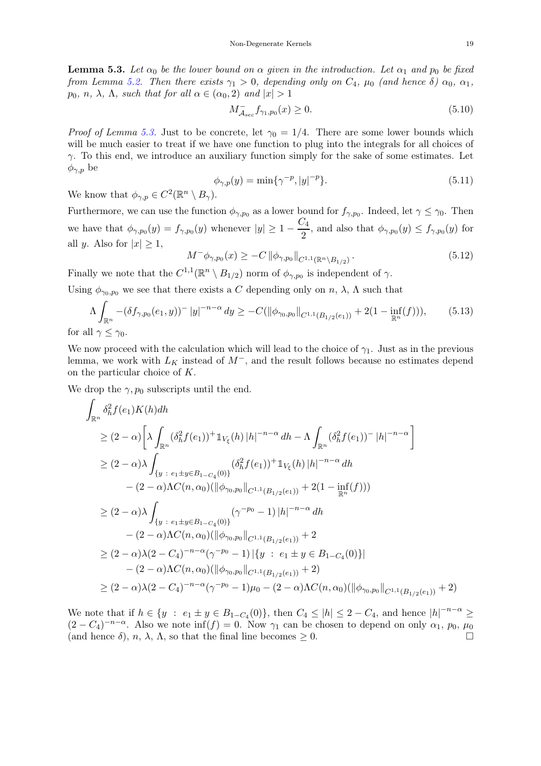<span id="page-18-0"></span>**Lemma 5.3.** Let  $\alpha_0$  be the lower bound on  $\alpha$  given in the introduction. Let  $\alpha_1$  and  $p_0$  be fixed from Lemma [5.2.](#page-16-0) Then there exists  $\gamma_1 > 0$ , depending only on  $C_4$ ,  $\mu_0$  (and hence  $\delta$ )  $\alpha_0$ ,  $\alpha_1$ ,  $p_0, n, \lambda, \Lambda$ , such that for all  $\alpha \in (\alpha_0, 2)$  and  $|x| > 1$ 

$$
M_{A_{sec}}^- f_{\gamma_1, p_0}(x) \ge 0. \tag{5.10}
$$

*Proof of Lemma [5.3.](#page-18-0)* Just to be concrete, let  $\gamma_0 = 1/4$ . There are some lower bounds which will be much easier to treat if we have one function to plug into the integrals for all choices of  $\gamma$ . To this end, we introduce an auxiliary function simply for the sake of some estimates. Let  $\phi_{\gamma,p}$  be

$$
\phi_{\gamma,p}(y) = \min\{\gamma^{-p}, |y|^{-p}\}.
$$
\n(5.11)

We know that  $\phi_{\gamma,p} \in C^2(\mathbb{R}^n \setminus B_\gamma)$ .

Furthermore, we can use the function  $\phi_{\gamma, p_0}$  as a lower bound for  $f_{\gamma, p_0}$ . Indeed, let  $\gamma \leq \gamma_0$ . Then we have that  $\phi_{\gamma, p_0}(y) = f_{\gamma, p_0}(y)$  whenever  $|y| \geq 1 - \frac{C_4}{2}$  $\frac{1}{2}$ , and also that  $\phi_{\gamma, p_0}(y) \leq f_{\gamma, p_0}(y)$  for all y. Also for  $|x| \geq 1$ ,

$$
M^{-}\phi_{\gamma,p_{0}}(x) \geq -C \left\|\phi_{\gamma,p_{0}}\right\|_{C^{1,1}(\mathbb{R}^{n}\setminus B_{1/2})}.
$$
\n(5.12)

Finally we note that the  $C^{1,1}(\mathbb{R}^n \setminus B_{1/2})$  norm of  $\phi_{\gamma,p_0}$  is independent of  $\gamma$ .

Using  $\phi_{\gamma_0,p_0}$  we see that there exists a C depending only on n,  $\lambda$ ,  $\Lambda$  such that

$$
\Lambda \int_{\mathbb{R}^n} -(\delta f_{\gamma, p_0}(e_1, y))^-\, |y|^{-n-\alpha} \, dy \ge -C(\|\phi_{\gamma_0, p_0}\|_{C^{1,1}(B_{1/2}(e_1))} + 2(1 - \inf_{\mathbb{R}^n}(f))),\tag{5.13}
$$

for all  $\gamma \leq \gamma_0$ .

We now proceed with the calculation which will lead to the choice of  $\gamma_1$ . Just as in the previous lemma, we work with  $L_K$  instead of  $M^-$ , and the result follows because no estimates depend on the particular choice of K.

We drop the  $\gamma$ ,  $p_0$  subscripts until the end.

$$
\int_{\mathbb{R}^n} \delta_h^2 f(e_1) K(h) dh
$$
\n
$$
\geq (2 - \alpha) \left[ \lambda \int_{\mathbb{R}^n} (\delta_h^2 f(e_1))^+ \mathbb{1}_{V_{\xi}}(h) |h|^{-n-\alpha} dh - \Lambda \int_{\mathbb{R}^n} (\delta_h^2 f(e_1))^- |h|^{-n-\alpha} \right]
$$
\n
$$
\geq (2 - \alpha) \lambda \int_{\{y \ : \ e_1 \pm y \in B_{1-C_4}(0)\}} (\delta_h^2 f(e_1))^+ \mathbb{1}_{V_{\xi}}(h) |h|^{-n-\alpha} dh
$$
\n
$$
- (2 - \alpha) \Lambda C(n, \alpha_0) (||\phi_{\gamma_0, p_0}||_{C^{1,1}(B_{1/2}(e_1))} + 2(1 - \inf_{\mathbb{R}^n} f)))
$$
\n
$$
\geq (2 - \alpha) \lambda \int_{\{y \ : \ e_1 \pm y \in B_{1-C_4}(0)\}} (\gamma^{-p_0} - 1) |h|^{-n-\alpha} dh
$$
\n
$$
- (2 - \alpha) \Lambda C(n, \alpha_0) (||\phi_{\gamma_0, p_0}||_{C^{1,1}(B_{1/2}(e_1))} + 2
$$
\n
$$
\geq (2 - \alpha) \lambda (2 - C_4)^{-n-\alpha} (\gamma^{-p_0} - 1) |y \ : \ e_1 \pm y \in B_{1-C_4}(0) \} | - (2 - \alpha) \Lambda C(n, \alpha_0) (||\phi_{\gamma_0, p_0}||_{C^{1,1}(B_{1/2}(e_1))} + 2)
$$
\n
$$
\geq (2 - \alpha) \lambda (2 - C_4)^{-n-\alpha} (\gamma^{-p_0} - 1) \mu_0 - (2 - \alpha) \Lambda C(n, \alpha_0) (||\phi_{\gamma_0, p_0}||_{C^{1,1}(B_{1/2}(e_1))} + 2)
$$
\n
$$
\geq (2 - \alpha) \lambda (2 - C_4)^{-n-\alpha} (\gamma^{-p_0} - 1) \mu_0 - (2 - \alpha) \Lambda C(n, \alpha_0) (||\phi_{\gamma_0, p_0}||_{C^{1,1}(B_{1/2}(e_1))} + 2)
$$

We note that if  $h \in \{y : e_1 \pm y \in B_{1-C_4}(0)\}\$ , then  $C_4 \leq |h| \leq 2 - C_4$ , and hence  $|h|^{-n-\alpha} \geq$  $(2 - C_4)^{-n-\alpha}$ . Also we note inf(f) = 0. Now  $\gamma_1$  can be chosen to depend on only  $\alpha_1$ ,  $p_0$ ,  $\mu_0$ (and hence  $\delta$ ),  $n, \lambda, \Lambda$ , so that the final line becomes  $\geq 0$ .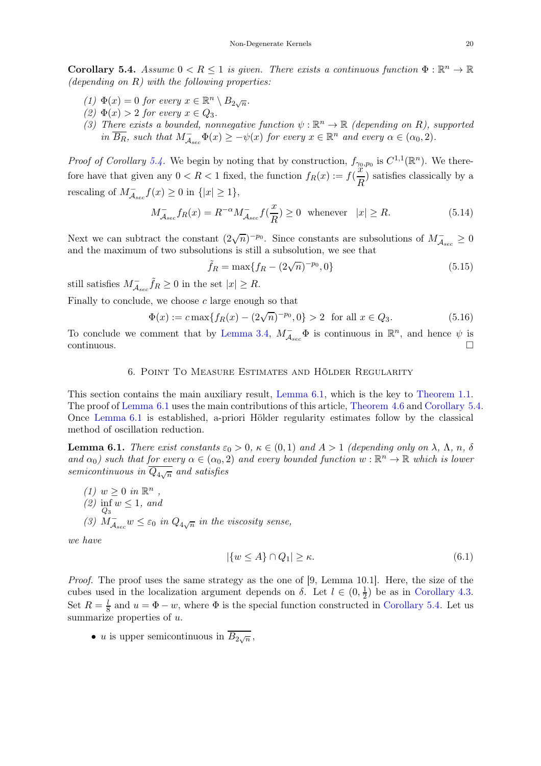<span id="page-19-1"></span>Corollary 5.4. Assume  $0 \le R \le 1$  is given. There exists a continuous function  $\Phi : \mathbb{R}^n \to \mathbb{R}$ (depending on  $R$ ) with the following properties:

- (1)  $\Phi(x) = 0$  for every  $x \in \mathbb{R}^n \setminus B_{2\sqrt{n}}$ .
- (2)  $\Phi(x) > 2$  for every  $x \in Q_3$ .
- (3) There exists a bounded, nonnegative function  $\psi : \mathbb{R}^n \to \mathbb{R}$  (depending on R), supported in  $\overline{B_R}$ , such that  $M_{A_{sec}}^{\dagger} \Phi(x) \geq -\psi(x)$  for every  $x \in \mathbb{R}^n$  and every  $\alpha \in (\alpha_0, 2)$ .

*Proof of Corollary [5.4.](#page-19-1)* We begin by noting that by construction,  $f_{\gamma_0, p_0}$  is  $C^{1,1}(\mathbb{R}^n)$ . We therefore have that given any  $0 < R < 1$  fixed, the function  $f_R(x) := f(\frac{x}{R})$  $\frac{a}{R}$ ) satisfies classically by a rescaling of  $M_{A_{sec}}^- f(x) \ge 0$  in  $\{|x| \ge 1\},\$ 

$$
M_{A_{sec}}^- f_R(x) = R^{-\alpha} M_{A_{sec}}^- f(\frac{x}{R}) \ge 0 \quad \text{whenever} \quad |x| \ge R. \tag{5.14}
$$

Next we can subtract the constant  $(2\sqrt{n})^{-p_0}$ . Since constants are subsolutions of  $M^-_{A_{sec}} \geq 0$ and the maximum of two subsolutions is still a subsolution, we see that

$$
\tilde{f}_R = \max\{f_R - (2\sqrt{n})^{-p_0}, 0\}
$$
\n(5.15)

still satisfies  $M^-_{A_{sec}}\tilde{f}_R \geq 0$  in the set  $|x| \geq R$ .

Finally to conclude, we choose  $c$  large enough so that

$$
\Phi(x) := c \max\{ f_R(x) - (2\sqrt{n})^{-p_0}, 0 \} > 2 \quad \text{for all } x \in Q_3. \tag{5.16}
$$

<span id="page-19-0"></span>To conclude we comment that by [Lemma 3.4,](#page-7-1)  $M_{A_{sec}}^{\dagger} \Phi$  is continuous in  $\mathbb{R}^n$ , and hence  $\psi$  is  $\Box$ continuous.

#### 6. Point To Measure Estimates and Hölder Regularity

This section contains the main auxiliary result, [Lemma 6.1,](#page-19-2) which is the key to [Theorem 1.1.](#page-1-1) The proof of [Lemma 6.1](#page-19-2) uses the main contributions of this article, [Theorem 4.6](#page-13-0) and [Corollary 5.4.](#page-19-1) Once [Lemma 6.1](#page-19-2) is established, a-priori Hölder regularity estimates follow by the classical method of oscillation reduction.

<span id="page-19-2"></span>**Lemma 6.1.** There exist constants  $\varepsilon_0 > 0$ ,  $\kappa \in (0,1)$  and  $A > 1$  (depending only on  $\lambda$ ,  $\Lambda$ ,  $n$ ,  $\delta$ and  $\alpha_0$ ) such that for every  $\alpha \in (\alpha_0, 2)$  and every bounded function  $w : \mathbb{R}^n \to \mathbb{R}$  which is lower semicontinuous in  $Q_{4\sqrt{n}}$  and satisfies

(1)  $w \geq 0$  in  $\mathbb{R}^n$ ,  $(2)$  inf  $w \leq 1$ , and  $\scriptstyle Q_3$ (3)  $M_{A_{sec}}^- w \leq \varepsilon_0$  in  $Q_{4\sqrt{n}}$  in the viscosity sense,

we have

$$
|\{w \le A\} \cap Q_1| \ge \kappa. \tag{6.1}
$$

Proof. The proof uses the same strategy as the one of [\[9,](#page-24-0) Lemma 10.1]. Here, the size of the cubes used in the localization argument depends on  $\delta$ . Let  $l \in (0, \frac{1}{2})$  $(\frac{1}{2})$  be as in [Corollary 4.3.](#page-11-0) Set  $R=\frac{l}{s}$  $\frac{1}{8}$  and  $u = \Phi - w$ , where  $\Phi$  is the special function constructed in [Corollary 5.4.](#page-19-1) Let us summarize properties of  $u$ .

• *u* is upper semicontinuous in  $B_{2\sqrt{n}}$ ,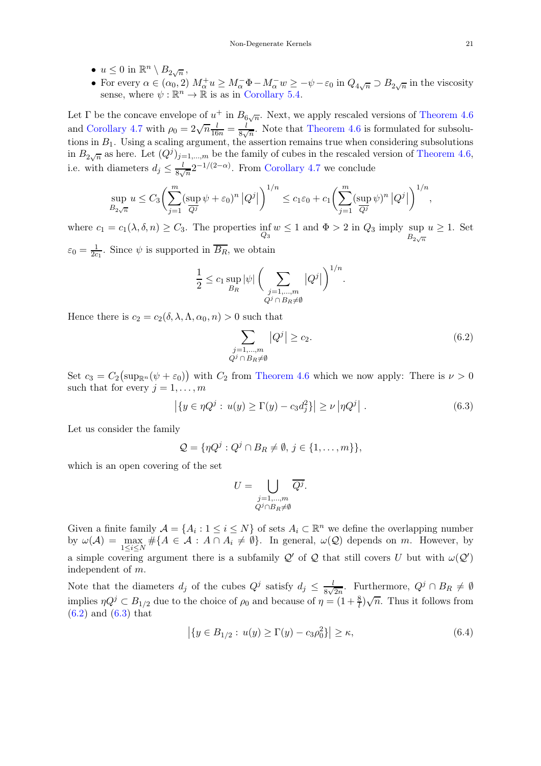- $u \leq 0$  in  $\mathbb{R}^n \setminus B_{2\sqrt{n}}$ ,
- For every  $\alpha \in (\alpha_0, 2)$   $M^+_\alpha u \ge M^-_\alpha \Phi M^-_\alpha w \ge -\psi \varepsilon_0$  in  $Q_{4\sqrt{n}} \supset B_{2\sqrt{n}}$  in the viscosity sense, where  $\psi : \mathbb{R}^n \to \mathbb{R}$  is as in [Corollary 5.4.](#page-19-1)

Let  $\Gamma$  be the concave envelope of  $u^+$  in  $B_{6\sqrt{n}}$ . Next, we apply rescaled versions of [Theorem 4.6](#page-13-0) and [Corollary 4.7](#page-14-1) with  $\rho_0 = 2\sqrt{n} \frac{l}{16n} = \frac{l}{8\sqrt{n}}$ . Note that [Theorem 4.6](#page-13-0) is formulated for subsolutions in  $B_1$ . Using a scaling argument, the assertion remains true when considering subsolutions in  $B_{2\sqrt{n}}$  as here. Let  $(Q^{j})_{j=1,\dots,m}$  be the family of cubes in the rescaled version of [Theorem 4.6,](#page-13-0) i.e. with diameters  $d_j \leq \frac{l}{8\sqrt{n}} 2^{-1/(2-\alpha)}$ . From [Corollary 4.7](#page-14-1) we conclude

$$
\sup_{B_{2\sqrt{n}}} u \leq C_3 \bigg( \sum_{j=1}^m (\sup_{\overline{Q}^j} \psi + \varepsilon_0)^n |Q^j| \bigg)^{1/n} \leq c_1 \varepsilon_0 + c_1 \bigg( \sum_{j=1}^m (\sup_{\overline{Q}^j} \psi)^n |Q^j| \bigg)^{1/n},
$$

where  $c_1 = c_1(\lambda, \delta, n) \ge C_3$ . The properties in  $w \le 1$  and  $\Phi > 2$  in  $Q_3$  imply sup  $u \ge 1$ . Set  $B_{2\sqrt{n}}$  $\varepsilon_0 = \frac{1}{2c}$  $\frac{1}{2c_1}$ . Since  $\psi$  is supported in  $B_R$ , we obtain

$$
\frac{1}{2} \leq c_1 \sup_{B_R} |\psi| \left( \sum_{\substack{j=1,\dots,m\\Q^j \cap B_R \neq \emptyset}} |Q^j| \right)^{1/n}.
$$

Hence there is  $c_2 = c_2(\delta, \lambda, \Lambda, \alpha_0, n) > 0$  such that

<span id="page-20-1"></span><span id="page-20-0"></span>
$$
\sum_{\substack{j=1,\ldots,m\\Q^j\cap B_R\neq\emptyset}} |Q^j| \ge c_2.
$$
\n(6.2)

Set  $c_3 = C_2(\text{sup}_{\mathbb{R}^n}(\psi + \varepsilon_0))$  with  $C_2$  from [Theorem 4.6](#page-13-0) which we now apply: There is  $\nu > 0$ such that for every  $j = 1, \ldots, m$ 

$$
|\{y \in \eta Q^j : u(y) \ge \Gamma(y) - c_3 d_j^2\}| \ge \nu |\eta Q^j|.
$$
 (6.3)

Let us consider the family

$$
Q = \{\eta Q^j : Q^j \cap B_R \neq \emptyset, j \in \{1, \ldots, m\}\},\
$$

which is an open covering of the set

<span id="page-20-2"></span>
$$
U = \bigcup_{\substack{j=1,\ldots,m\\ Q^j \cap B_R \neq \emptyset}} \overline{Q^j}.
$$

Given a finite family  $\mathcal{A} = \{A_i : 1 \leq i \leq N\}$  of sets  $A_i \subset \mathbb{R}^n$  we define the overlapping number by  $\omega(\mathcal{A}) = \max_{1 \leq i \leq N} \# \{ A \in \mathcal{A} : A \cap A_i \neq \emptyset \}.$  In general,  $\omega(\mathcal{Q})$  depends on m. However, by a simple covering argument there is a subfamily  $\mathcal{Q}'$  of  $\mathcal Q$  that still covers U but with  $\omega(\mathcal{Q}')$ independent of m.

Note that the diameters  $d_j$  of the cubes  $Q^j$  satisfy  $d_j \leq \frac{l}{8\sqrt{l}}$  $\frac{l}{8\sqrt{2n}}$ . Furthermore,  $Q^j \cap B_R \neq \emptyset$ implies  $\eta Q^j \subset B_{1/2}$  due to the choice of  $\rho_0$  and because of  $\eta = (1 + \frac{8}{l})\sqrt{n}$ . Thus it follows from [\(6.2\)](#page-20-0) and [\(6.3\)](#page-20-1) that

$$
|\{y \in B_{1/2} : u(y) \ge \Gamma(y) - c_3 \rho_0^2\}| \ge \kappa,\tag{6.4}
$$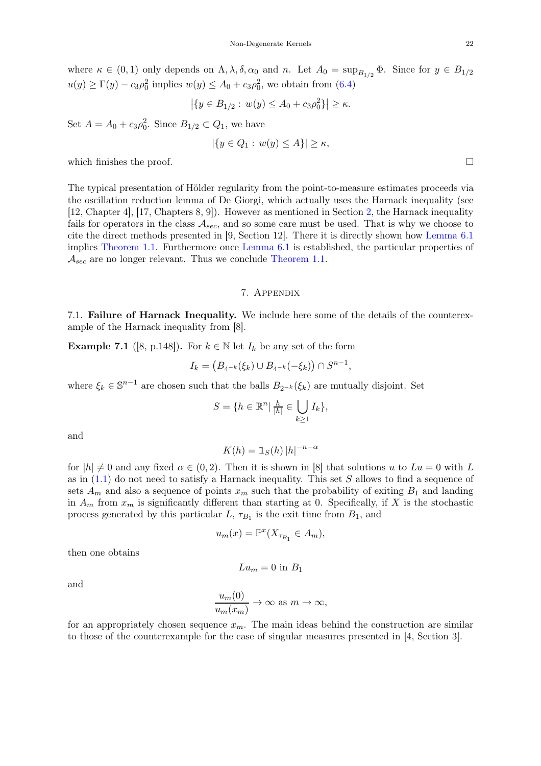where  $\kappa \in (0,1)$  only depends on  $\Lambda, \lambda, \delta, \alpha_0$  and n. Let  $A_0 = \sup_{B_{1/2}} \Phi$ . Since for  $y \in B_{1/2}$  $u(y) \ge \Gamma(y) - c_3 \rho_0^2$  implies  $w(y) \le A_0 + c_3 \rho_0^2$ , we obtain from [\(6.4\)](#page-20-2)

$$
|\{y \in B_{1/2} : w(y) \le A_0 + c_3 \rho_0^2\}| \ge \kappa.
$$

Set  $A = A_0 + c_3 \rho_0^2$ . Since  $B_{1/2} \subset Q_1$ , we have

$$
|\{y \in Q_1 : w(y) \le A\}| \ge \kappa,
$$

which finishes the proof.  $\Box$ 

The typical presentation of Hölder regularity from the point-to-measure estimates proceeds via the oscillation reduction lemma of De Giorgi, which actually uses the Harnack inequality (see [\[12,](#page-24-1) Chapter 4], [\[17,](#page-24-2) Chapters 8, 9]). However as mentioned in Section [2,](#page-2-0) the Harnack inequality fails for operators in the class  $A_{sec}$ , and so some care must be used. That is why we choose to cite the direct methods presented in [\[9,](#page-24-0) Section 12]. There it is directly shown how [Lemma 6.1](#page-19-2) implies [Theorem 1.1.](#page-1-1) Furthermore once [Lemma 6.1](#page-19-2) is established, the particular properties of  $\mathcal{A}_{sec}$  are no longer relevant. Thus we conclude [Theorem 1.1.](#page-1-1)

### 7. Appendix

<span id="page-21-1"></span><span id="page-21-0"></span>7.1. Failure of Harnack Inequality. We include here some of the details of the counterexample of the Harnack inequality from [\[8\]](#page-24-13).

<span id="page-21-2"></span>**Example 7.1** ([\[8,](#page-24-13) p.148]). For  $k \in \mathbb{N}$  let  $I_k$  be any set of the form

$$
I_k = (B_{4^{-k}}(\xi_k) \cup B_{4^{-k}}(-\xi_k)) \cap S^{n-1},
$$

where  $\xi_k \in \mathbb{S}^{n-1}$  are chosen such that the balls  $B_{2^{-k}}(\xi_k)$  are mutually disjoint. Set

$$
S = \{ h \in \mathbb{R}^n \mid \frac{h}{|h|} \in \bigcup_{k \ge 1} I_k \},\
$$

and

$$
K(h) = \mathbb{1}_S(h) |h|^{-n-\alpha}
$$

for  $|h| \neq 0$  and any fixed  $\alpha \in (0, 2)$ . Then it is shown in [\[8\]](#page-24-13) that solutions u to  $Lu = 0$  with L as in  $(1.1)$  do not need to satisfy a Harnack inequality. This set S allows to find a sequence of sets  $A_m$  and also a sequence of points  $x_m$  such that the probability of exiting  $B_1$  and landing in  $A_m$  from  $x_m$  is significantly different than starting at 0. Specifically, if X is the stochastic process generated by this particular  $L, \tau_{B_1}$  is the exit time from  $B_1$ , and

$$
u_m(x) = \mathbb{P}^x(X_{\tau_{B_1}} \in A_m),
$$

then one obtains

$$
Lu_m = 0
$$
 in  $B_1$ 

and

$$
\frac{u_m(0)}{u_m(x_m)} \to \infty \text{ as } m \to \infty,
$$

for an appropriately chosen sequence  $x_m$ . The main ideas behind the construction are similar to those of the counterexample for the case of singular measures presented in [\[4,](#page-24-16) Section 3].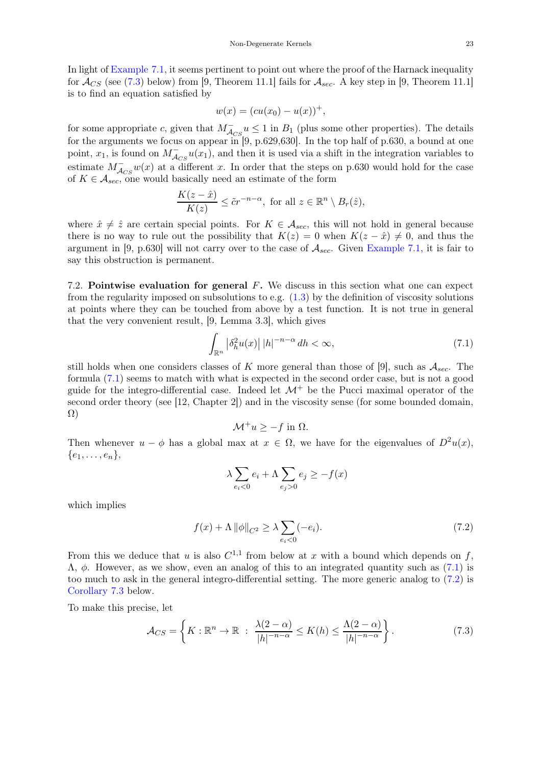In light of [Example 7.1,](#page-21-2) it seems pertinent to point out where the proof of the Harnack inequality for  $\mathcal{A}_{CS}$  (see [\(7.3\)](#page-22-1) below) from [\[9,](#page-24-0) Theorem 11.1] fails for  $\mathcal{A}_{sec}$ . A key step in [9, Theorem 11.1] is to find an equation satisfied by

$$
w(x) = (cu(x0) - u(x))^{+},
$$

for some appropriate c, given that  $M_{AGS}^{-1}u \leq 1$  in  $B_1$  (plus some other properties). The details for the arguments we focus on appear in [\[9,](#page-24-0) p.629,630]. In the top half of p.630, a bound at one point,  $x_1$ , is found on  $M^{-}_{\mathcal{A}_{CS}}u(x_1)$ , and then it is used via a shift in the integration variables to estimate  $M_{\mathcal{A}_{CS}}^{\dagger}w(x)$  at a different x. In order that the steps on p.630 would hold for the case of  $K \in \mathcal{A}_{sec}$ , one would basically need an estimate of the form

$$
\frac{K(z-\hat{x})}{K(z)} \leq \tilde{c}r^{-n-\alpha}, \text{ for all } z \in \mathbb{R}^n \setminus B_r(\hat{z}),
$$

where  $\hat{x} \neq \hat{z}$  are certain special points. For  $K \in \mathcal{A}_{sec}$ , this will not hold in general because there is no way to rule out the possibility that  $K(z) = 0$  when  $K(z - \hat{x}) \neq 0$ , and thus the argument in [\[9,](#page-24-0) p.630] will not carry over to the case of  $A_{sec}$ . Given [Example 7.1,](#page-21-2) it is fair to say this obstruction is permanent.

<span id="page-22-0"></span>7.2. Pointwise evaluation for general  $F$ . We discuss in this section what one can expect from the regularity imposed on subsolutions to e.g.  $(1.3)$  by the definition of viscosity solutions at points where they can be touched from above by a test function. It is not true in general that the very convenient result, [\[9,](#page-24-0) Lemma 3.3], which gives

<span id="page-22-2"></span>
$$
\int_{\mathbb{R}^n} \left| \delta_h^2 u(x) \right| |h|^{-n-\alpha} dh < \infty,\tag{7.1}
$$

still holds when one considers classes of K more general than those of [\[9\]](#page-24-0), such as  $A_{sec}$ . The formula [\(7.1\)](#page-22-2) seems to match with what is expected in the second order case, but is not a good guide for the integro-differential case. Indeed let  $\mathcal{M}^+$  be the Pucci maximal operator of the second order theory (see [\[12,](#page-24-1) Chapter 2]) and in the viscosity sense (for some bounded domain,  $\Omega$ )

$$
\mathcal{M}^+ u \ge -f \text{ in } \Omega.
$$

Then whenever  $u - \phi$  has a global max at  $x \in \Omega$ , we have for the eigenvalues of  $D^2u(x)$ ,  $\{e_1,\ldots,e_n\},\$ 

<span id="page-22-3"></span>
$$
\lambda \sum_{e_i < 0} e_i + \Lambda \sum_{e_j > 0} e_j \ge -f(x)
$$

which implies

$$
f(x) + \Lambda \|\phi\|_{C^2} \ge \lambda \sum_{e_i < 0} (-e_i). \tag{7.2}
$$

From this we deduce that u is also  $C^{1,1}$  from below at x with a bound which depends on f,  $Λ$ , *ϕ*. However, as we show, even an analog of this to an integrated quantity such as [\(7.1\)](#page-22-2) is too much to ask in the general integro-differential setting. The more generic analog to [\(7.2\)](#page-22-3) is [Corollary 7.3](#page-24-17) below.

To make this precise, let

<span id="page-22-1"></span>
$$
\mathcal{A}_{CS} = \left\{ K : \mathbb{R}^n \to \mathbb{R} \; : \; \frac{\lambda(2-\alpha)}{|h|^{-n-\alpha}} \le K(h) \le \frac{\Lambda(2-\alpha)}{|h|^{-n-\alpha}} \right\}.
$$
 (7.3)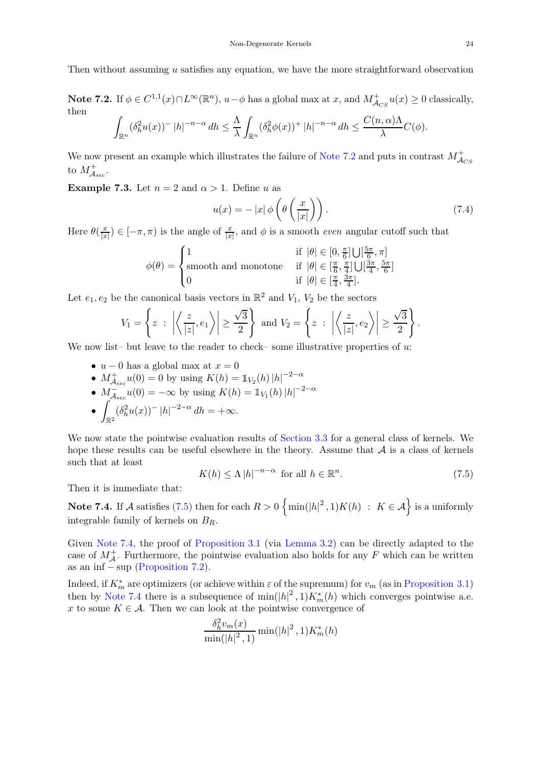Then without assuming  $u$  satisfies any equation, we have the more straightforward observation

<span id="page-23-0"></span>**Note 7.2.** If  $\phi \in C^{1,1}(x) \cap L^{\infty}(\mathbb{R}^n)$ ,  $u - \phi$  has a global max at x, and  $M^+_{\mathcal{A}_{CS}}u(x) \ge 0$  classically, then

$$
\int_{\mathbb{R}^n} (\delta_h^2 u(x))^{-} |h|^{-n-\alpha} dh \leq \frac{\Lambda}{\lambda} \int_{\mathbb{R}^n} (\delta_h^2 \phi(x))^+ |h|^{-n-\alpha} dh \leq \frac{C(n, \alpha)\Lambda}{\lambda} C(\phi).
$$

We now present an example which illustrates the failure of [Note 7.2](#page-23-0) and puts in contrast  $M^+_{\mathcal{A}_{CS}}$ to  $M^+_{A_{sec}}$ .

**Example 7.3.** Let  $n = 2$  and  $\alpha > 1$ . Define u as

$$
u(x) = -|x| \phi\left(\theta\left(\frac{x}{|x|}\right)\right). \tag{7.4}
$$

Here  $\theta(\frac{x}{|x|})$  $(\frac{x}{|x|}) \in [-\pi, \pi)$  is the angle of  $\frac{x}{|x|}$ , and  $\phi$  is a smooth *even* angular cutoff such that

$$
\phi(\theta) = \begin{cases} 1 & \text{if } |\theta| \in [0, \frac{\pi}{6}] \bigcup [\frac{5\pi}{6}, \pi] \\ \text{smooth and monotone} & \text{if } |\theta| \in [\frac{\pi}{6}, \frac{\pi}{4}] \bigcup [\frac{3\pi}{4}, \frac{5\pi}{6}] \\ 0 & \text{if } |\theta| \in [\frac{\pi}{4}, \frac{3\pi}{4}]. \end{cases}
$$

Let  $e_1, e_2$  be the canonical basis vectors in  $\mathbb{R}^2$  and  $V_1, V_2$  be the sectors

$$
V_1 = \left\{ z \ : \ \left| \left\langle \frac{z}{|z|}, e_1 \right\rangle \right| \ge \frac{\sqrt{3}}{2} \right\} \text{ and } V_2 = \left\{ z \ : \ \left| \left\langle \frac{z}{|z|}, e_2 \right\rangle \right| \ge \frac{\sqrt{3}}{2} \right\}.
$$

We now list– but leave to the reader to check– some illustrative properties of  $u$ :

- $u 0$  has a global max at  $x = 0$
- $M^+_{A_{sec}}u(0) = 0$  by using  $K(h) = \mathbb{1}_{V_2}(h)|h|^{-2-\alpha}$
- $M_{A_{sec}}^{-}u(0) = -\infty$  by using  $K(h) = \mathbb{1}_{V_1}(h) |h|^{-2-\alpha}$

• 
$$
\int_{\mathbb{R}^2} (\delta_h^2 u(x))^{-} |h|^{-2-\alpha} dh = +\infty.
$$

We now state the pointwise evaluation results of [Section 3.3](#page-5-4) for a general class of kernels. We hope these results can be useful elsewhere in the theory. Assume that  $A$  is a class of kernels such that at least

<span id="page-23-1"></span>
$$
K(h) \le \Lambda |h|^{-n-\alpha} \text{ for all } h \in \mathbb{R}^n. \tag{7.5}
$$

Then it is immediate that:

<span id="page-23-2"></span>Note 7.4. If A satisfies [\(7.5\)](#page-23-1) then for each  $R > 0$   $\left\{ \min(|h|^2, 1)K(h) \ : \ K \in \mathcal{A} \right\}$  is a uniformly integrable family of kernels on  $B_R$ .

Given [Note 7.4,](#page-23-2) the proof of [Proposition 3.1](#page-6-0) (via [Lemma 3.2\)](#page-6-1) can be directly adapted to the case of  $M_{A}^{+}$ . Furthermore, the pointwise evaluation also holds for any F which can be written as an inf  $-\sup$  [\(Proposition 7.2\)](#page-24-18).

Indeed, if  $K_m^*$  are optimizers (or achieve within  $\varepsilon$  of the supremum) for  $v_m$  (as in [Proposition 3.1\)](#page-6-0) then by [Note 7.4](#page-23-2) there is a subsequence of  $\min(|h|^2, 1)K_m^*(h)$  which converges pointwise a.e. x to some  $K \in \mathcal{A}$ . Then we can look at the pointwise convergence of

$$
\frac{\delta_h^2 v_m(x)}{\min(|h|^2, 1)} \min(|h|^2, 1) K_m^*(h)
$$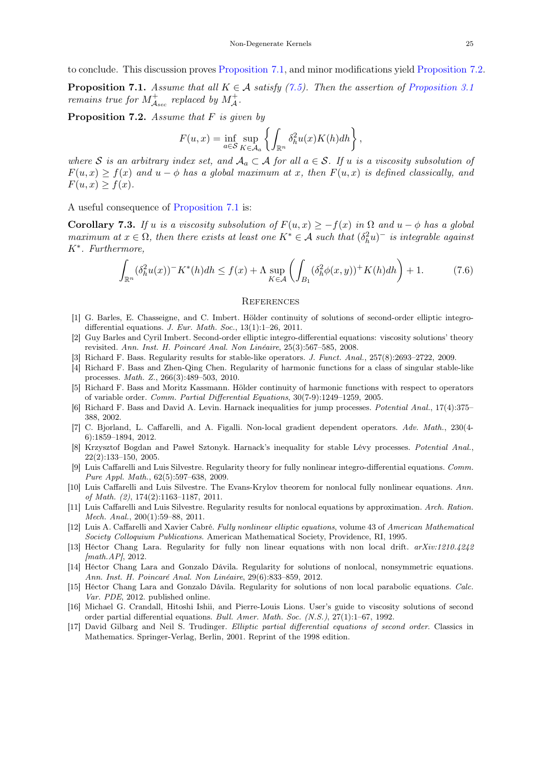to conclude. This discussion proves [Proposition 7.1,](#page-24-19) and minor modifications yield [Proposition 7.2.](#page-24-18)

<span id="page-24-19"></span>**Proposition 7.1.** Assume that all  $K \in \mathcal{A}$  satisfy [\(7.5\)](#page-23-1). Then the assertion of [Proposition 3.1](#page-6-0) remains true for  $M^+_{A_{sec}}$  replaced by  $M^+_{A}$ .

<span id="page-24-18"></span>**Proposition 7.2.** Assume that  $F$  is given by

$$
F(u,x) = \inf_{a \in \mathcal{S}} \sup_{K \in \mathcal{A}_a} \left\{ \int_{\mathbb{R}^n} \delta_h^2 u(x) K(h) dh \right\},\,
$$

where S is an arbitrary index set, and  $A_a \subset A$  for all  $a \in S$ . If u is a viscosity subsolution of  $F(u, x) \ge f(x)$  and  $u - \phi$  has a global maximum at x, then  $F(u, x)$  is defined classically, and  $F(u, x) > f(x)$ .

A useful consequence of [Proposition 7.1](#page-24-19) is:

<span id="page-24-17"></span>Corollary 7.3. If u is a viscosity subsolution of  $F(u, x) \geq -f(x)$  in  $\Omega$  and  $u - \phi$  has a global maximum at  $x \in \Omega$ , then there exists at least one  $K^* \in \mathcal{A}$  such that  $(\delta_h^2 u)^-$  is integrable against K∗ . Furthermore,

$$
\int_{\mathbb{R}^n} (\delta_h^2 u(x))^{\mathbf{-}} K^*(h) dh \le f(x) + \Lambda \sup_{K \in \mathcal{A}} \left( \int_{B_1} (\delta_h^2 \phi(x, y))^{\mathbf{+}} K(h) dh \right) + 1. \tag{7.6}
$$

#### **REFERENCES**

- <span id="page-24-9"></span>[1] G. Barles, E. Chasseigne, and C. Imbert. Hölder continuity of solutions of second-order elliptic integrodifferential equations. J. Eur. Math. Soc., 13(1):1-26, 2011.
- <span id="page-24-4"></span>[2] Guy Barles and Cyril Imbert. Second-order elliptic integro-differential equations: viscosity solutions' theory revisited. Ann. Inst. H. Poincaré Anal. Non Linéaire, 25(3):567–585, 2008.
- <span id="page-24-16"></span><span id="page-24-8"></span>[3] Richard F. Bass. Regularity results for stable-like operators. J. Funct. Anal., 257(8):2693–2722, 2009.
- [4] Richard F. Bass and Zhen-Qing Chen. Regularity of harmonic functions for a class of singular stable-like processes. Math. Z., 266(3):489–503, 2010.
- <span id="page-24-7"></span>[5] Richard F. Bass and Moritz Kassmann. Hölder continuity of harmonic functions with respect to operators of variable order. Comm. Partial Differential Equations, 30(7-9):1249–1259, 2005.
- <span id="page-24-6"></span>[6] Richard F. Bass and David A. Levin. Harnack inequalities for jump processes. Potential Anal., 17(4):375– 388, 2002.
- <span id="page-24-5"></span>[7] C. Bjorland, L. Caffarelli, and A. Figalli. Non-local gradient dependent operators. Adv. Math., 230(4- 6):1859–1894, 2012.
- <span id="page-24-13"></span>[8] Krzysztof Bogdan and Paweł Sztonyk. Harnack's inequality for stable Lévy processes. Potential Anal., 22(2):133–150, 2005.
- <span id="page-24-0"></span>[9] Luis Caffarelli and Luis Silvestre. Regularity theory for fully nonlinear integro-differential equations. Comm. Pure Appl. Math., 62(5):597–638, 2009.
- <span id="page-24-10"></span>[10] Luis Caffarelli and Luis Silvestre. The Evans-Krylov theorem for nonlocal fully nonlinear equations. Ann. of Math. (2), 174(2):1163–1187, 2011.
- <span id="page-24-3"></span>[11] Luis Caffarelli and Luis Silvestre. Regularity results for nonlocal equations by approximation. Arch. Ration. Mech. Anal., 200(1):59–88, 2011.
- <span id="page-24-1"></span>[12] Luis A. Caffarelli and Xavier Cabré. Fully nonlinear elliptic equations, volume 43 of American Mathematical Society Colloquium Publications. American Mathematical Society, Providence, RI, 1995.
- <span id="page-24-11"></span>[13] Héctor Chang Lara. Regularity for fully non linear equations with non local drift. arXiv:1210.4242  $[math.AP], 2012.$
- <span id="page-24-12"></span>[14] Héctor Chang Lara and Gonzalo Dávila. Regularity for solutions of nonlocal, nonsymmetric equations. Ann. Inst. H. Poincaré Anal. Non Linéaire, 29(6):833–859, 2012.
- <span id="page-24-15"></span>[15] Héctor Chang Lara and Gonzalo Dávila. Regularity for solutions of non local parabolic equations. Calc. Var. PDE, 2012. published online.
- <span id="page-24-14"></span>[16] Michael G. Crandall, Hitoshi Ishii, and Pierre-Louis Lions. User's guide to viscosity solutions of second order partial differential equations. Bull. Amer. Math. Soc. (N.S.), 27(1):1–67, 1992.
- <span id="page-24-2"></span>[17] David Gilbarg and Neil S. Trudinger. Elliptic partial differential equations of second order. Classics in Mathematics. Springer-Verlag, Berlin, 2001. Reprint of the 1998 edition.